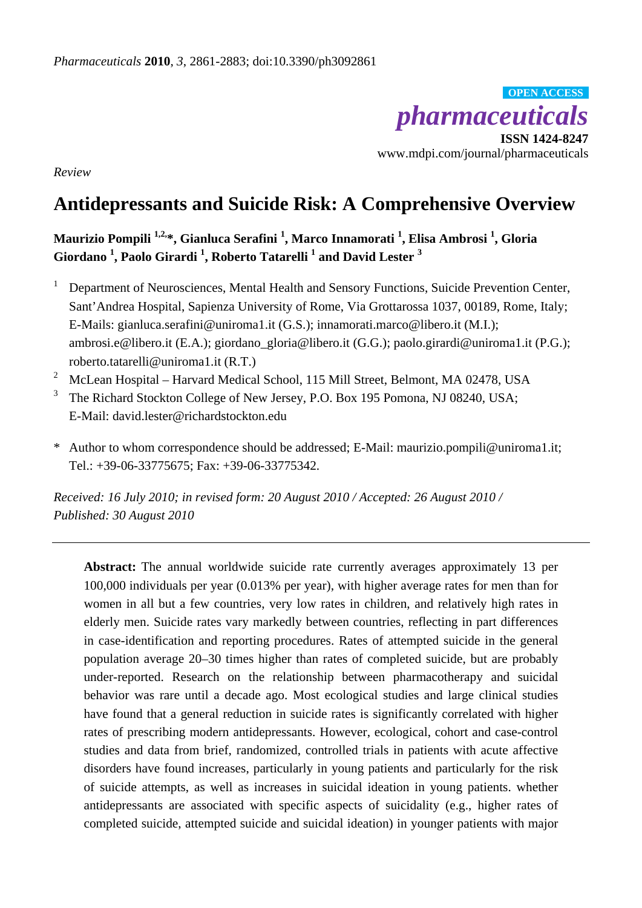*pharmaceuticals* **ISSN 1424-8247 OPEN ACCESS**

www.mdpi.com/journal/pharmaceuticals

*Review* 

# **Antidepressants and Suicide Risk: A Comprehensive Overview**

**Maurizio Pompili 1,2,\*, Gianluca Serafini 1 , Marco Innamorati 1 , Elisa Ambrosi 1 , Gloria Giordano <sup>1</sup> , Paolo Girardi <sup>1</sup> , Roberto Tatarelli 1 and David Lester <sup>3</sup>**

- 1 Department of Neurosciences, Mental Health and Sensory Functions, Suicide Prevention Center, Sant'Andrea Hospital, Sapienza University of Rome, Via Grottarossa 1037, 00189, Rome, Italy; E-Mails: gianluca.serafini@uniroma1.it (G.S.); innamorati.marco@libero.it (M.I.); ambrosi.e@libero.it (E.A.); giordano\_gloria@libero.it (G.G.); paolo.girardi@uniroma1.it (P.G.); roberto.tatarelli@uniroma1.it (R.T.)
- 2 McLean Hospital – Harvard Medical School, 115 Mill Street, Belmont, MA 02478, USA
- 3 The Richard Stockton College of New Jersey, P.O. Box 195 Pomona, NJ 08240, USA; E-Mail: david.lester@richardstockton.edu
- \* Author to whom correspondence should be addressed; E-Mail: maurizio.pompili@uniroma1.it; Tel.: +39-06-33775675; Fax: +39-06-33775342.

*Received: 16 July 2010; in revised form: 20 August 2010 / Accepted: 26 August 2010 / Published: 30 August 2010*

**Abstract:** The annual worldwide suicide rate currently averages approximately 13 per 100,000 individuals per year (0.013% per year), with higher average rates for men than for women in all but a few countries, very low rates in children, and relatively high rates in elderly men. Suicide rates vary markedly between countries, reflecting in part differences in case-identification and reporting procedures. Rates of attempted suicide in the general population average 20–30 times higher than rates of completed suicide, but are probably under-reported. Research on the relationship between pharmacotherapy and suicidal behavior was rare until a decade ago. Most ecological studies and large clinical studies have found that a general reduction in suicide rates is significantly correlated with higher rates of prescribing modern antidepressants. However, ecological, cohort and case-control studies and data from brief, randomized, controlled trials in patients with acute affective disorders have found increases, particularly in young patients and particularly for the risk of suicide attempts, as well as increases in suicidal ideation in young patients. whether antidepressants are associated with specific aspects of suicidality (e.g., higher rates of completed suicide, attempted suicide and suicidal ideation) in younger patients with major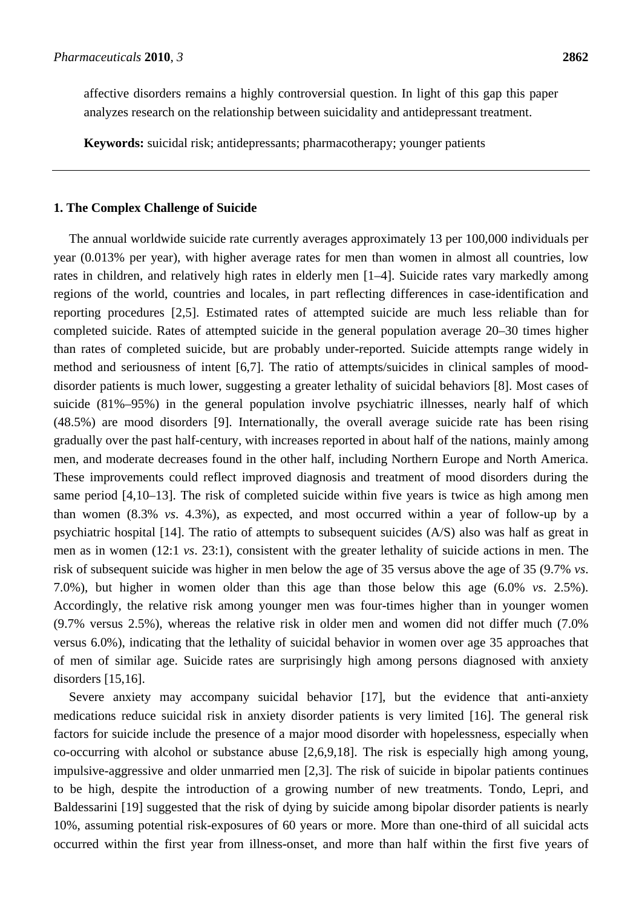affective disorders remains a highly controversial question. In light of this gap this paper analyzes research on the relationship between suicidality and antidepressant treatment.

**Keywords:** suicidal risk; antidepressants; pharmacotherapy; younger patients

### **1. The Complex Challenge of Suicide**

The annual worldwide suicide rate currently averages approximately 13 per 100,000 individuals per year (0.013% per year), with higher average rates for men than women in almost all countries, low rates in children, and relatively high rates in elderly men [1–4]. Suicide rates vary markedly among regions of the world, countries and locales, in part reflecting differences in case-identification and reporting procedures [2,5]. Estimated rates of attempted suicide are much less reliable than for completed suicide. Rates of attempted suicide in the general population average 20–30 times higher than rates of completed suicide, but are probably under-reported. Suicide attempts range widely in method and seriousness of intent [6,7]. The ratio of attempts/suicides in clinical samples of mooddisorder patients is much lower, suggesting a greater lethality of suicidal behaviors [8]. Most cases of suicide (81%–95%) in the general population involve psychiatric illnesses, nearly half of which (48.5%) are mood disorders [9]. Internationally, the overall average suicide rate has been rising gradually over the past half-century, with increases reported in about half of the nations, mainly among men, and moderate decreases found in the other half, including Northern Europe and North America. These improvements could reflect improved diagnosis and treatment of mood disorders during the same period [4,10–13]. The risk of completed suicide within five years is twice as high among men than women (8.3% *vs*. 4.3%), as expected, and most occurred within a year of follow-up by a psychiatric hospital [14]. The ratio of attempts to subsequent suicides (A/S) also was half as great in men as in women (12:1 *vs*. 23:1), consistent with the greater lethality of suicide actions in men. The risk of subsequent suicide was higher in men below the age of 35 versus above the age of 35 (9.7% *vs*. 7.0%), but higher in women older than this age than those below this age (6.0% *vs*. 2.5%). Accordingly, the relative risk among younger men was four-times higher than in younger women (9.7% versus 2.5%), whereas the relative risk in older men and women did not differ much (7.0% versus 6.0%), indicating that the lethality of suicidal behavior in women over age 35 approaches that of men of similar age. Suicide rates are surprisingly high among persons diagnosed with anxiety disorders [15,16].

Severe anxiety may accompany suicidal behavior [17], but the evidence that anti-anxiety medications reduce suicidal risk in anxiety disorder patients is very limited [16]. The general risk factors for suicide include the presence of a major mood disorder with hopelessness, especially when co-occurring with alcohol or substance abuse [2,6,9,18]. The risk is especially high among young, impulsive-aggressive and older unmarried men [2,3]. The risk of suicide in bipolar patients continues to be high, despite the introduction of a growing number of new treatments. Tondo, Lepri, and Baldessarini [19] suggested that the risk of dying by suicide among bipolar disorder patients is nearly 10%, assuming potential risk-exposures of 60 years or more. More than one-third of all suicidal acts occurred within the first year from illness-onset, and more than half within the first five years of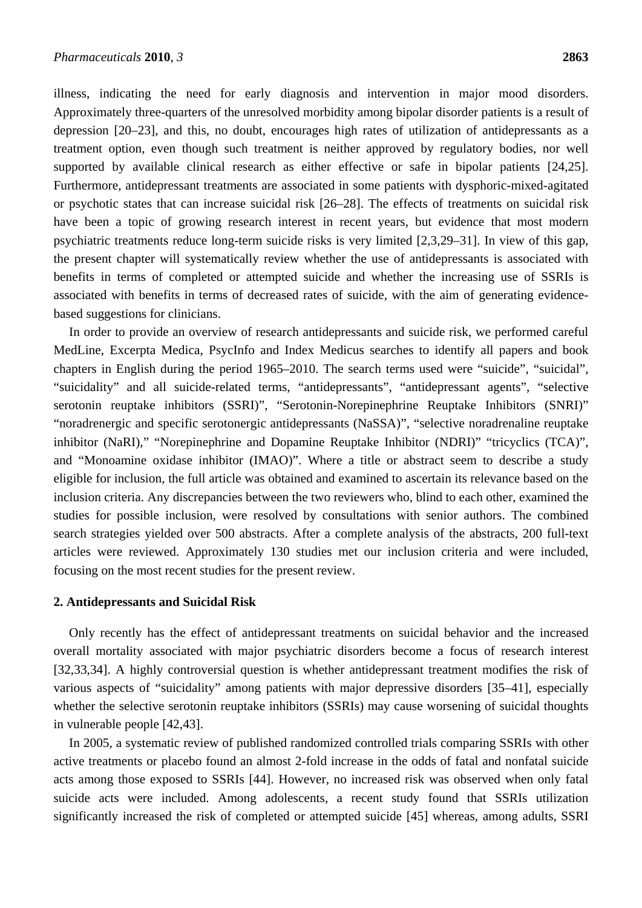illness, indicating the need for early diagnosis and intervention in major mood disorders. Approximately three-quarters of the unresolved morbidity among bipolar disorder patients is a result of depression [20–23], and this, no doubt, encourages high rates of utilization of antidepressants as a treatment option, even though such treatment is neither approved by regulatory bodies, nor well supported by available clinical research as either effective or safe in bipolar patients [24,25]. Furthermore, antidepressant treatments are associated in some patients with dysphoric-mixed-agitated or psychotic states that can increase suicidal risk [26–28]. The effects of treatments on suicidal risk have been a topic of growing research interest in recent years, but evidence that most modern psychiatric treatments reduce long-term suicide risks is very limited [2,3,29–31]. In view of this gap, the present chapter will systematically review whether the use of antidepressants is associated with benefits in terms of completed or attempted suicide and whether the increasing use of SSRIs is associated with benefits in terms of decreased rates of suicide, with the aim of generating evidencebased suggestions for clinicians.

In order to provide an overview of research antidepressants and suicide risk, we performed careful MedLine, Excerpta Medica, PsycInfo and Index Medicus searches to identify all papers and book chapters in English during the period 1965–2010. The search terms used were "suicide", "suicidal", "suicidality" and all suicide-related terms, "antidepressants", "antidepressant agents", "selective serotonin reuptake inhibitors (SSRI)", "Serotonin-Norepinephrine Reuptake Inhibitors (SNRI)" "noradrenergic and specific serotonergic antidepressants (NaSSA)", "selective noradrenaline reuptake inhibitor (NaRI)," "Norepinephrine and Dopamine Reuptake Inhibitor (NDRI)" "tricyclics (TCA)", and "Monoamine oxidase inhibitor (IMAO)". Where a title or abstract seem to describe a study eligible for inclusion, the full article was obtained and examined to ascertain its relevance based on the inclusion criteria. Any discrepancies between the two reviewers who, blind to each other, examined the studies for possible inclusion, were resolved by consultations with senior authors. The combined search strategies yielded over 500 abstracts. After a complete analysis of the abstracts, 200 full-text articles were reviewed. Approximately 130 studies met our inclusion criteria and were included, focusing on the most recent studies for the present review.

#### **2. Antidepressants and Suicidal Risk**

Only recently has the effect of antidepressant treatments on suicidal behavior and the increased overall mortality associated with major psychiatric disorders become a focus of research interest [32,33,34]. A highly controversial question is whether antidepressant treatment modifies the risk of various aspects of "suicidality" among patients with major depressive disorders [35–41], especially whether the selective serotonin reuptake inhibitors (SSRIs) may cause worsening of suicidal thoughts in vulnerable people [42,43].

In 2005, a systematic review of published randomized controlled trials comparing SSRIs with other active treatments or placebo found an almost 2-fold increase in the odds of fatal and nonfatal suicide acts among those exposed to SSRIs [44]. However, no increased risk was observed when only fatal suicide acts were included. Among adolescents, a recent study found that SSRIs utilization significantly increased the risk of completed or attempted suicide [45] whereas, among adults, SSRI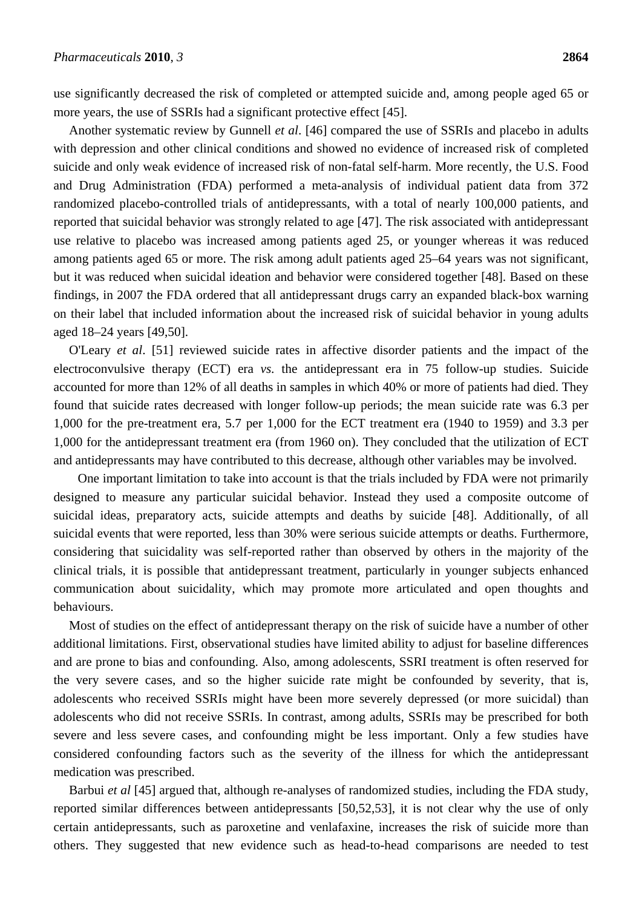use significantly decreased the risk of completed or attempted suicide and, among people aged 65 or more years, the use of SSRIs had a significant protective effect [45].

Another systematic review by Gunnell *et al*. [46] compared the use of SSRIs and placebo in adults with depression and other clinical conditions and showed no evidence of increased risk of completed suicide and only weak evidence of increased risk of non-fatal self-harm. More recently, the U.S. Food and Drug Administration (FDA) performed a meta-analysis of individual patient data from 372 randomized placebo-controlled trials of antidepressants, with a total of nearly 100,000 patients, and reported that suicidal behavior was strongly related to age [47]. The risk associated with antidepressant use relative to placebo was increased among patients aged 25, or younger whereas it was reduced among patients aged 65 or more. The risk among adult patients aged 25–64 years was not significant, but it was reduced when suicidal ideation and behavior were considered together [48]. Based on these findings, in 2007 the FDA ordered that all antidepressant drugs carry an expanded black-box warning on their label that included information about the increased risk of suicidal behavior in young adults aged 18–24 years [49,50].

O'Leary *et al*. [51] reviewed suicide rates in affective disorder patients and the impact of the electroconvulsive therapy (ECT) era *vs.* the antidepressant era in 75 follow-up studies. Suicide accounted for more than 12% of all deaths in samples in which 40% or more of patients had died. They found that suicide rates decreased with longer follow-up periods; the mean suicide rate was 6.3 per 1,000 for the pre-treatment era, 5.7 per 1,000 for the ECT treatment era (1940 to 1959) and 3.3 per 1,000 for the antidepressant treatment era (from 1960 on). They concluded that the utilization of ECT and antidepressants may have contributed to this decrease, although other variables may be involved.

One important limitation to take into account is that the trials included by FDA were not primarily designed to measure any particular suicidal behavior. Instead they used a composite outcome of suicidal ideas, preparatory acts, suicide attempts and deaths by suicide [48]. Additionally, of all suicidal events that were reported, less than 30% were serious suicide attempts or deaths. Furthermore, considering that suicidality was self-reported rather than observed by others in the majority of the clinical trials, it is possible that antidepressant treatment, particularly in younger subjects enhanced communication about suicidality, which may promote more articulated and open thoughts and behaviours.

Most of studies on the effect of antidepressant therapy on the risk of suicide have a number of other additional limitations. First, observational studies have limited ability to adjust for baseline differences and are prone to bias and confounding. Also, among adolescents, SSRI treatment is often reserved for the very severe cases, and so the higher suicide rate might be confounded by severity, that is, adolescents who received SSRIs might have been more severely depressed (or more suicidal) than adolescents who did not receive SSRIs. In contrast, among adults, SSRIs may be prescribed for both severe and less severe cases, and confounding might be less important. Only a few studies have considered confounding factors such as the severity of the illness for which the antidepressant medication was prescribed.

Barbui *et al* [45] argued that, although re-analyses of randomized studies, including the FDA study, reported similar differences between antidepressants [50,52,53], it is not clear why the use of only certain antidepressants, such as paroxetine and venlafaxine, increases the risk of suicide more than others. They suggested that new evidence such as head-to-head comparisons are needed to test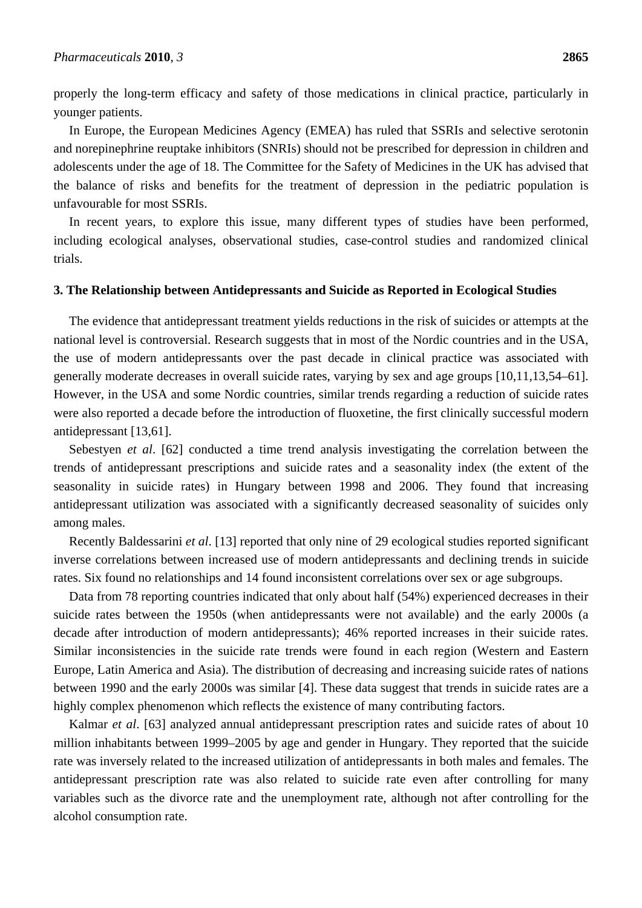properly the long-term efficacy and safety of those medications in clinical practice, particularly in younger patients.

In Europe, the European Medicines Agency (EMEA) has ruled that SSRIs and selective serotonin and norepinephrine reuptake inhibitors (SNRIs) should not be prescribed for depression in children and adolescents under the age of 18. The Committee for the Safety of Medicines in the UK has advised that the balance of risks and benefits for the treatment of depression in the pediatric population is unfavourable for most SSRIs.

In recent years, to explore this issue, many different types of studies have been performed, including ecological analyses, observational studies, case-control studies and randomized clinical trials.

#### **3. The Relationship between Antidepressants and Suicide as Reported in Ecological Studies**

The evidence that antidepressant treatment yields reductions in the risk of suicides or attempts at the national level is controversial. Research suggests that in most of the Nordic countries and in the USA, the use of modern antidepressants over the past decade in clinical practice was associated with generally moderate decreases in overall suicide rates, varying by sex and age groups [10,11,13,54–61]. However, in the USA and some Nordic countries, similar trends regarding a reduction of suicide rates were also reported a decade before the introduction of fluoxetine, the first clinically successful modern antidepressant [13,61].

Sebestyen *et al*. [62] conducted a time trend analysis investigating the correlation between the trends of antidepressant prescriptions and suicide rates and a seasonality index (the extent of the seasonality in suicide rates) in Hungary between 1998 and 2006. They found that increasing antidepressant utilization was associated with a significantly decreased seasonality of suicides only among males.

Recently Baldessarini *et al*. [13] reported that only nine of 29 ecological studies reported significant inverse correlations between increased use of modern antidepressants and declining trends in suicide rates. Six found no relationships and 14 found inconsistent correlations over sex or age subgroups.

Data from 78 reporting countries indicated that only about half (54%) experienced decreases in their suicide rates between the 1950s (when antidepressants were not available) and the early 2000s (a decade after introduction of modern antidepressants); 46% reported increases in their suicide rates. Similar inconsistencies in the suicide rate trends were found in each region (Western and Eastern Europe, Latin America and Asia). The distribution of decreasing and increasing suicide rates of nations between 1990 and the early 2000s was similar [4]. These data suggest that trends in suicide rates are a highly complex phenomenon which reflects the existence of many contributing factors.

Kalmar *et al*. [63] analyzed annual antidepressant prescription rates and suicide rates of about 10 million inhabitants between 1999–2005 by age and gender in Hungary. They reported that the suicide rate was inversely related to the increased utilization of antidepressants in both males and females. The antidepressant prescription rate was also related to suicide rate even after controlling for many variables such as the divorce rate and the unemployment rate, although not after controlling for the alcohol consumption rate.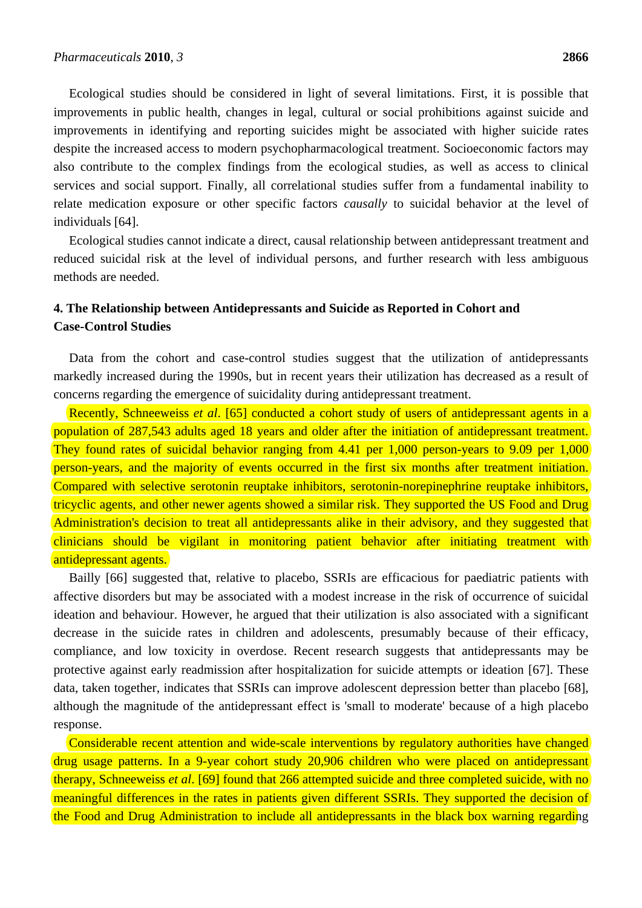Ecological studies should be considered in light of several limitations. First, it is possible that improvements in public health, changes in legal, cultural or social prohibitions against suicide and improvements in identifying and reporting suicides might be associated with higher suicide rates despite the increased access to modern psychopharmacological treatment. Socioeconomic factors may also contribute to the complex findings from the ecological studies, as well as access to clinical services and social support. Finally, all correlational studies suffer from a fundamental inability to relate medication exposure or other specific factors *causally* to suicidal behavior at the level of individuals [64].

Ecological studies cannot indicate a direct, causal relationship between antidepressant treatment and reduced suicidal risk at the level of individual persons, and further research with less ambiguous methods are needed.

## **4. The Relationship between Antidepressants and Suicide as Reported in Cohort and Case-Control Studies**

Data from the cohort and case-control studies suggest that the utilization of antidepressants markedly increased during the 1990s, but in recent years their utilization has decreased as a result of concerns regarding the emergence of suicidality during antidepressant treatment.

Recently, Schneeweiss *et al*. [65] conducted a cohort study of users of antidepressant agents in a population of 287,543 adults aged 18 years and older after the initiation of antidepressant treatment. They found rates of suicidal behavior ranging from 4.41 per 1,000 person-years to 9.09 per 1,000 person-years, and the majority of events occurred in the first six months after treatment initiation. Compared with selective serotonin reuptake inhibitors, serotonin-norepinephrine reuptake inhibitors, tricyclic agents, and other newer agents showed a similar risk. They supported the US Food and Drug Administration's decision to treat all antidepressants alike in their advisory, and they suggested that clinicians should be vigilant in monitoring patient behavior after initiating treatment with antidepressant agents.

Bailly [66] suggested that, relative to placebo, SSRIs are efficacious for paediatric patients with affective disorders but may be associated with a modest increase in the risk of occurrence of suicidal ideation and behaviour. However, he argued that their utilization is also associated with a significant decrease in the suicide rates in children and adolescents, presumably because of their efficacy, compliance, and low toxicity in overdose. Recent research suggests that antidepressants may be protective against early readmission after hospitalization for suicide attempts or ideation [67]. These data, taken together, indicates that SSRIs can improve adolescent depression better than placebo [68], although the magnitude of the antidepressant effect is 'small to moderate' because of a high placebo response.

Considerable recent attention and wide-scale interventions by regulatory authorities have changed drug usage patterns. In a 9-year cohort study 20,906 children who were placed on antidepressant therapy, Schneeweiss *et al*. [69] found that 266 attempted suicide and three completed suicide, with no meaningful differences in the rates in patients given different SSRIs. They supported the decision of the Food and Drug Administration to include all antidepressants in the black box warning regarding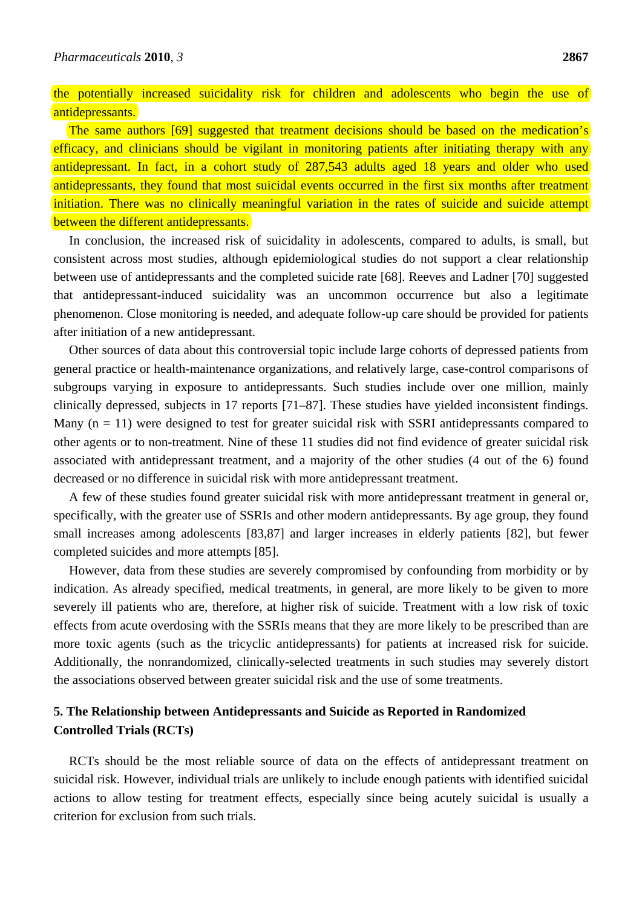the potentially increased suicidality risk for children and adolescents who begin the use of antidepressants.

The same authors [69] suggested that treatment decisions should be based on the medication's efficacy, and clinicians should be vigilant in monitoring patients after initiating therapy with any antidepressant. In fact, in a cohort study of 287,543 adults aged 18 years and older who used antidepressants, they found that most suicidal events occurred in the first six months after treatment initiation. There was no clinically meaningful variation in the rates of suicide and suicide attempt between the different antidepressants.

In conclusion, the increased risk of suicidality in adolescents, compared to adults, is small, but consistent across most studies, although epidemiological studies do not support a clear relationship between use of antidepressants and the completed suicide rate [68]. Reeves and Ladner [70] suggested that antidepressant-induced suicidality was an uncommon occurrence but also a legitimate phenomenon. Close monitoring is needed, and adequate follow-up care should be provided for patients after initiation of a new antidepressant.

Other sources of data about this controversial topic include large cohorts of depressed patients from general practice or health-maintenance organizations, and relatively large, case-control comparisons of subgroups varying in exposure to antidepressants. Such studies include over one million, mainly clinically depressed, subjects in 17 reports [71–87]. These studies have yielded inconsistent findings. Many  $(n = 11)$  were designed to test for greater suicidal risk with SSRI antidepressants compared to other agents or to non-treatment. Nine of these 11 studies did not find evidence of greater suicidal risk associated with antidepressant treatment, and a majority of the other studies (4 out of the 6) found decreased or no difference in suicidal risk with more antidepressant treatment.

A few of these studies found greater suicidal risk with more antidepressant treatment in general or, specifically, with the greater use of SSRIs and other modern antidepressants. By age group, they found small increases among adolescents [83,87] and larger increases in elderly patients [82], but fewer completed suicides and more attempts [85].

However, data from these studies are severely compromised by confounding from morbidity or by indication. As already specified, medical treatments, in general, are more likely to be given to more severely ill patients who are, therefore, at higher risk of suicide. Treatment with a low risk of toxic effects from acute overdosing with the SSRIs means that they are more likely to be prescribed than are more toxic agents (such as the tricyclic antidepressants) for patients at increased risk for suicide. Additionally, the nonrandomized, clinically-selected treatments in such studies may severely distort the associations observed between greater suicidal risk and the use of some treatments.

## **5. The Relationship between Antidepressants and Suicide as Reported in Randomized Controlled Trials (RCTs)**

RCTs should be the most reliable source of data on the effects of antidepressant treatment on suicidal risk. However, individual trials are unlikely to include enough patients with identified suicidal actions to allow testing for treatment effects, especially since being acutely suicidal is usually a criterion for exclusion from such trials.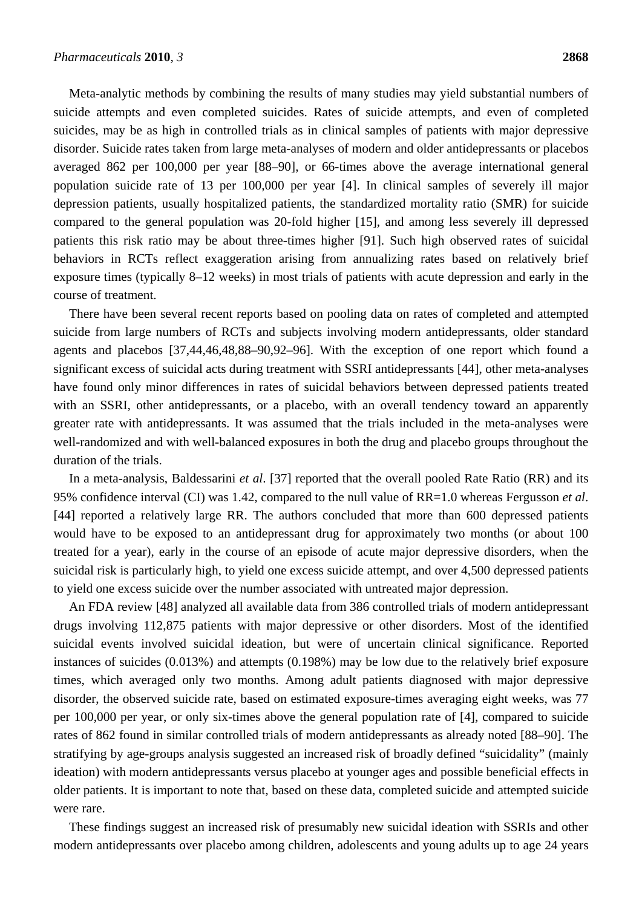Meta-analytic methods by combining the results of many studies may yield substantial numbers of suicide attempts and even completed suicides. Rates of suicide attempts, and even of completed suicides, may be as high in controlled trials as in clinical samples of patients with major depressive disorder. Suicide rates taken from large meta-analyses of modern and older antidepressants or placebos averaged 862 per 100,000 per year [88–90], or 66-times above the average international general population suicide rate of 13 per 100,000 per year [4]. In clinical samples of severely ill major depression patients, usually hospitalized patients, the standardized mortality ratio (SMR) for suicide compared to the general population was 20-fold higher [15], and among less severely ill depressed patients this risk ratio may be about three-times higher [91]. Such high observed rates of suicidal behaviors in RCTs reflect exaggeration arising from annualizing rates based on relatively brief exposure times (typically 8–12 weeks) in most trials of patients with acute depression and early in the course of treatment.

There have been several recent reports based on pooling data on rates of completed and attempted suicide from large numbers of RCTs and subjects involving modern antidepressants, older standard agents and placebos [37,44,46,48,88–90,92–96]. With the exception of one report which found a significant excess of suicidal acts during treatment with SSRI antidepressants [44], other meta-analyses have found only minor differences in rates of suicidal behaviors between depressed patients treated with an SSRI, other antidepressants, or a placebo, with an overall tendency toward an apparently greater rate with antidepressants. It was assumed that the trials included in the meta-analyses were well-randomized and with well-balanced exposures in both the drug and placebo groups throughout the duration of the trials.

In a meta-analysis, Baldessarini *et al*. [37] reported that the overall pooled Rate Ratio (RR) and its 95% confidence interval (CI) was 1.42, compared to the null value of RR=1.0 whereas Fergusson *et al*. [44] reported a relatively large RR. The authors concluded that more than 600 depressed patients would have to be exposed to an antidepressant drug for approximately two months (or about 100 treated for a year), early in the course of an episode of acute major depressive disorders, when the suicidal risk is particularly high, to yield one excess suicide attempt, and over 4,500 depressed patients to yield one excess suicide over the number associated with untreated major depression.

An FDA review [48] analyzed all available data from 386 controlled trials of modern antidepressant drugs involving 112,875 patients with major depressive or other disorders. Most of the identified suicidal events involved suicidal ideation, but were of uncertain clinical significance. Reported instances of suicides (0.013%) and attempts (0.198%) may be low due to the relatively brief exposure times, which averaged only two months. Among adult patients diagnosed with major depressive disorder, the observed suicide rate, based on estimated exposure-times averaging eight weeks, was 77 per 100,000 per year, or only six-times above the general population rate of [4], compared to suicide rates of 862 found in similar controlled trials of modern antidepressants as already noted [88–90]. The stratifying by age-groups analysis suggested an increased risk of broadly defined "suicidality" (mainly ideation) with modern antidepressants versus placebo at younger ages and possible beneficial effects in older patients. It is important to note that, based on these data, completed suicide and attempted suicide were rare.

These findings suggest an increased risk of presumably new suicidal ideation with SSRIs and other modern antidepressants over placebo among children, adolescents and young adults up to age 24 years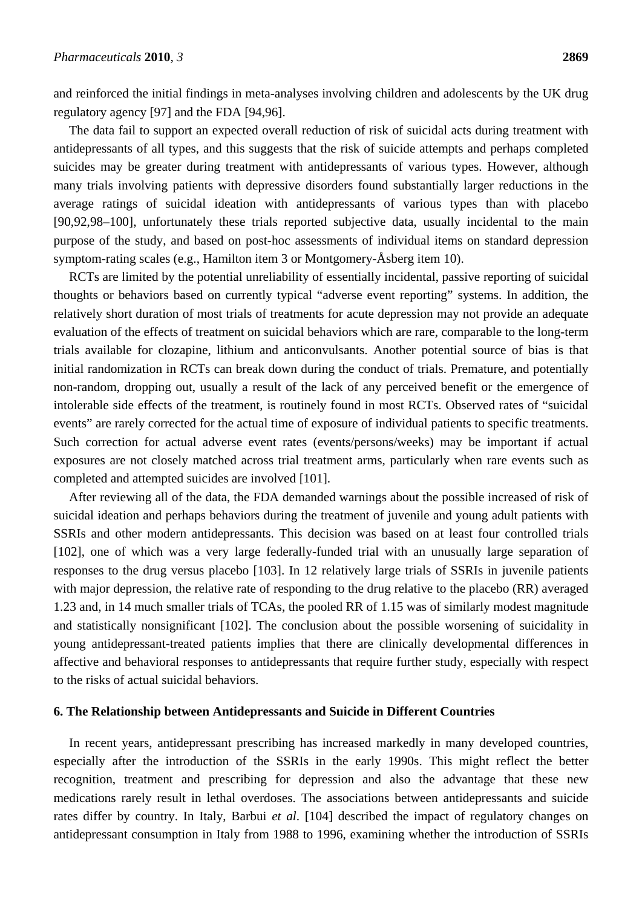and reinforced the initial findings in meta-analyses involving children and adolescents by the UK drug regulatory agency [97] and the FDA [94,96].

The data fail to support an expected overall reduction of risk of suicidal acts during treatment with antidepressants of all types, and this suggests that the risk of suicide attempts and perhaps completed suicides may be greater during treatment with antidepressants of various types. However, although many trials involving patients with depressive disorders found substantially larger reductions in the average ratings of suicidal ideation with antidepressants of various types than with placebo [90,92,98–100], unfortunately these trials reported subjective data, usually incidental to the main purpose of the study, and based on post-hoc assessments of individual items on standard depression symptom-rating scales (e.g., Hamilton item 3 or Montgomery-Åsberg item 10).

RCTs are limited by the potential unreliability of essentially incidental, passive reporting of suicidal thoughts or behaviors based on currently typical "adverse event reporting" systems. In addition, the relatively short duration of most trials of treatments for acute depression may not provide an adequate evaluation of the effects of treatment on suicidal behaviors which are rare, comparable to the long-term trials available for clozapine, lithium and anticonvulsants. Another potential source of bias is that initial randomization in RCTs can break down during the conduct of trials. Premature, and potentially non-random, dropping out, usually a result of the lack of any perceived benefit or the emergence of intolerable side effects of the treatment, is routinely found in most RCTs. Observed rates of "suicidal events" are rarely corrected for the actual time of exposure of individual patients to specific treatments. Such correction for actual adverse event rates (events/persons/weeks) may be important if actual exposures are not closely matched across trial treatment arms, particularly when rare events such as completed and attempted suicides are involved [101].

After reviewing all of the data, the FDA demanded warnings about the possible increased of risk of suicidal ideation and perhaps behaviors during the treatment of juvenile and young adult patients with SSRIs and other modern antidepressants. This decision was based on at least four controlled trials [102], one of which was a very large federally-funded trial with an unusually large separation of responses to the drug versus placebo [103]. In 12 relatively large trials of SSRIs in juvenile patients with major depression, the relative rate of responding to the drug relative to the placebo (RR) averaged 1.23 and, in 14 much smaller trials of TCAs, the pooled RR of 1.15 was of similarly modest magnitude and statistically nonsignificant [102]. The conclusion about the possible worsening of suicidality in young antidepressant-treated patients implies that there are clinically developmental differences in affective and behavioral responses to antidepressants that require further study, especially with respect to the risks of actual suicidal behaviors.

#### **6. The Relationship between Antidepressants and Suicide in Different Countries**

In recent years, antidepressant prescribing has increased markedly in many developed countries, especially after the introduction of the SSRIs in the early 1990s. This might reflect the better recognition, treatment and prescribing for depression and also the advantage that these new medications rarely result in lethal overdoses. The associations between antidepressants and suicide rates differ by country. In Italy, Barbui *et al*. [104] described the impact of regulatory changes on antidepressant consumption in Italy from 1988 to 1996, examining whether the introduction of SSRIs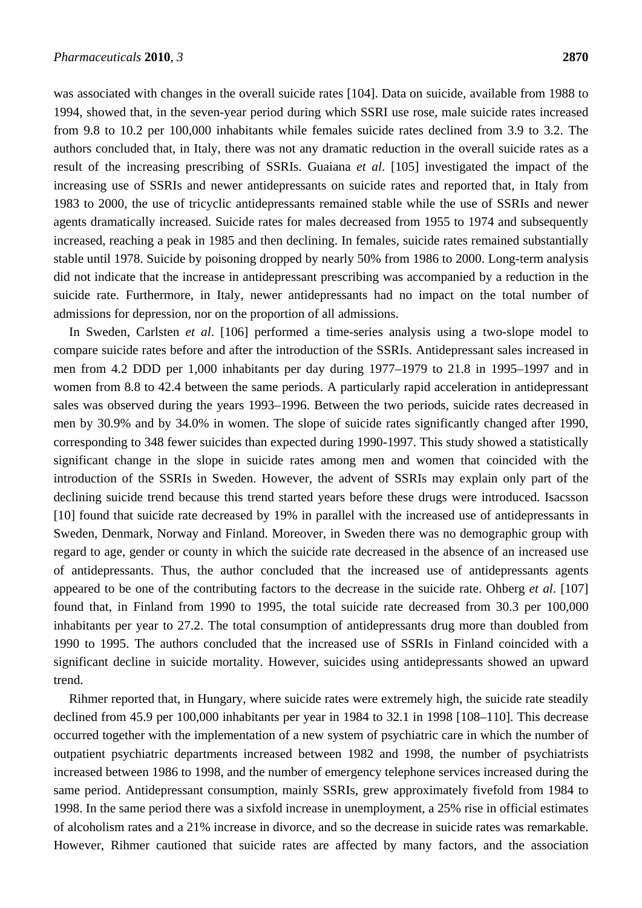was associated with changes in the overall suicide rates [104]. Data on suicide, available from 1988 to 1994, showed that, in the seven-year period during which SSRI use rose, male suicide rates increased from 9.8 to 10.2 per 100,000 inhabitants while females suicide rates declined from 3.9 to 3.2. The authors concluded that, in Italy, there was not any dramatic reduction in the overall suicide rates as a result of the increasing prescribing of SSRIs. Guaiana *et al*. [105] investigated the impact of the increasing use of SSRIs and newer antidepressants on suicide rates and reported that, in Italy from 1983 to 2000, the use of tricyclic antidepressants remained stable while the use of SSRIs and newer agents dramatically increased. Suicide rates for males decreased from 1955 to 1974 and subsequently increased, reaching a peak in 1985 and then declining. In females, suicide rates remained substantially stable until 1978. Suicide by poisoning dropped by nearly 50% from 1986 to 2000. Long-term analysis did not indicate that the increase in antidepressant prescribing was accompanied by a reduction in the suicide rate. Furthermore, in Italy, newer antidepressants had no impact on the total number of admissions for depression, nor on the proportion of all admissions.

In Sweden, Carlsten *et al*. [106] performed a time-series analysis using a two-slope model to compare suicide rates before and after the introduction of the SSRIs. Antidepressant sales increased in men from 4.2 DDD per 1,000 inhabitants per day during 1977–1979 to 21.8 in 1995–1997 and in women from 8.8 to 42.4 between the same periods. A particularly rapid acceleration in antidepressant sales was observed during the years 1993–1996. Between the two periods, suicide rates decreased in men by 30.9% and by 34.0% in women. The slope of suicide rates significantly changed after 1990, corresponding to 348 fewer suicides than expected during 1990-1997. This study showed a statistically significant change in the slope in suicide rates among men and women that coincided with the introduction of the SSRIs in Sweden. However, the advent of SSRIs may explain only part of the declining suicide trend because this trend started years before these drugs were introduced. Isacsson [10] found that suicide rate decreased by 19% in parallel with the increased use of antidepressants in Sweden, Denmark, Norway and Finland. Moreover, in Sweden there was no demographic group with regard to age, gender or county in which the suicide rate decreased in the absence of an increased use of antidepressants. Thus, the author concluded that the increased use of antidepressants agents appeared to be one of the contributing factors to the decrease in the suicide rate. Ohberg *et al*. [107] found that, in Finland from 1990 to 1995, the total suicide rate decreased from 30.3 per 100,000 inhabitants per year to 27.2. The total consumption of antidepressants drug more than doubled from 1990 to 1995. The authors concluded that the increased use of SSRIs in Finland coincided with a significant decline in suicide mortality. However, suicides using antidepressants showed an upward trend.

Rihmer reported that, in Hungary, where suicide rates were extremely high, the suicide rate steadily declined from 45.9 per 100,000 inhabitants per year in 1984 to 32.1 in 1998 [108–110]. This decrease occurred together with the implementation of a new system of psychiatric care in which the number of outpatient psychiatric departments increased between 1982 and 1998, the number of psychiatrists increased between 1986 to 1998, and the number of emergency telephone services increased during the same period. Antidepressant consumption, mainly SSRIs, grew approximately fivefold from 1984 to 1998. In the same period there was a sixfold increase in unemployment, a 25% rise in official estimates of alcoholism rates and a 21% increase in divorce, and so the decrease in suicide rates was remarkable. However, Rihmer cautioned that suicide rates are affected by many factors, and the association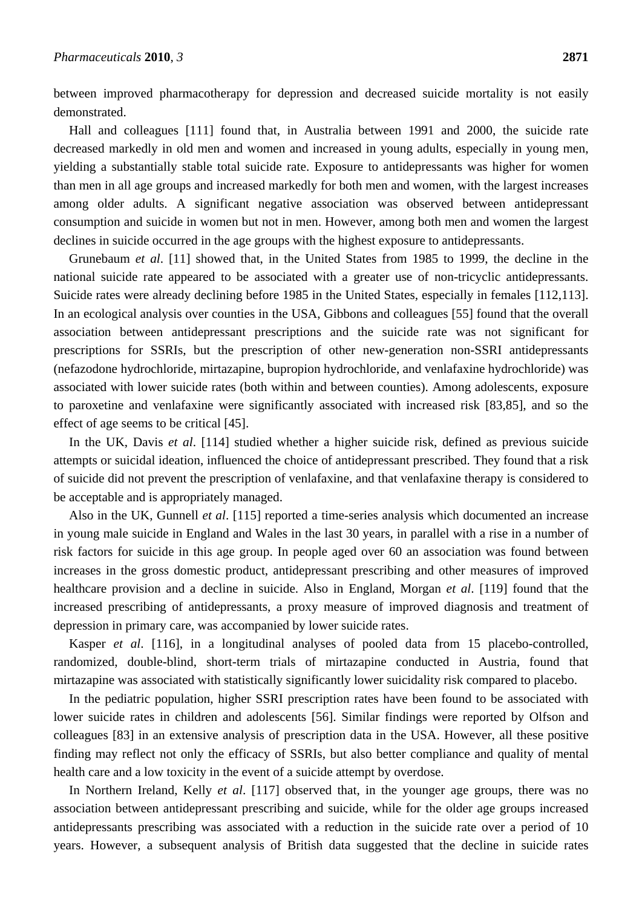between improved pharmacotherapy for depression and decreased suicide mortality is not easily demonstrated.

Hall and colleagues [111] found that, in Australia between 1991 and 2000, the suicide rate decreased markedly in old men and women and increased in young adults, especially in young men, yielding a substantially stable total suicide rate. Exposure to antidepressants was higher for women than men in all age groups and increased markedly for both men and women, with the largest increases among older adults. A significant negative association was observed between antidepressant consumption and suicide in women but not in men. However, among both men and women the largest declines in suicide occurred in the age groups with the highest exposure to antidepressants.

Grunebaum *et al*. [11] showed that, in the United States from 1985 to 1999, the decline in the national suicide rate appeared to be associated with a greater use of non-tricyclic antidepressants. Suicide rates were already declining before 1985 in the United States, especially in females [112,113]. In an ecological analysis over counties in the USA, Gibbons and colleagues [55] found that the overall association between antidepressant prescriptions and the suicide rate was not significant for prescriptions for SSRIs, but the prescription of other new-generation non-SSRI antidepressants (nefazodone hydrochloride, mirtazapine, bupropion hydrochloride, and venlafaxine hydrochloride) was associated with lower suicide rates (both within and between counties). Among adolescents, exposure to paroxetine and venlafaxine were significantly associated with increased risk [83,85], and so the effect of age seems to be critical [45].

In the UK, Davis *et al*. [114] studied whether a higher suicide risk, defined as previous suicide attempts or suicidal ideation, influenced the choice of antidepressant prescribed. They found that a risk of suicide did not prevent the prescription of venlafaxine, and that venlafaxine therapy is considered to be acceptable and is appropriately managed.

Also in the UK, Gunnell *et al*. [115] reported a time-series analysis which documented an increase in young male suicide in England and Wales in the last 30 years, in parallel with a rise in a number of risk factors for suicide in this age group. In people aged over 60 an association was found between increases in the gross domestic product, antidepressant prescribing and other measures of improved healthcare provision and a decline in suicide. Also in England, Morgan *et al*. [119] found that the increased prescribing of antidepressants, a proxy measure of improved diagnosis and treatment of depression in primary care, was accompanied by lower suicide rates.

Kasper *et al*. [116], in a longitudinal analyses of pooled data from 15 placebo-controlled, randomized, double-blind, short-term trials of mirtazapine conducted in Austria, found that mirtazapine was associated with statistically significantly lower suicidality risk compared to placebo.

In the pediatric population, higher SSRI prescription rates have been found to be associated with lower suicide rates in children and adolescents [56]. Similar findings were reported by Olfson and colleagues [83] in an extensive analysis of prescription data in the USA. However, all these positive finding may reflect not only the efficacy of SSRIs, but also better compliance and quality of mental health care and a low toxicity in the event of a suicide attempt by overdose.

In Northern Ireland, Kelly *et al*. [117] observed that, in the younger age groups, there was no association between antidepressant prescribing and suicide, while for the older age groups increased antidepressants prescribing was associated with a reduction in the suicide rate over a period of 10 years. However, a subsequent analysis of British data suggested that the decline in suicide rates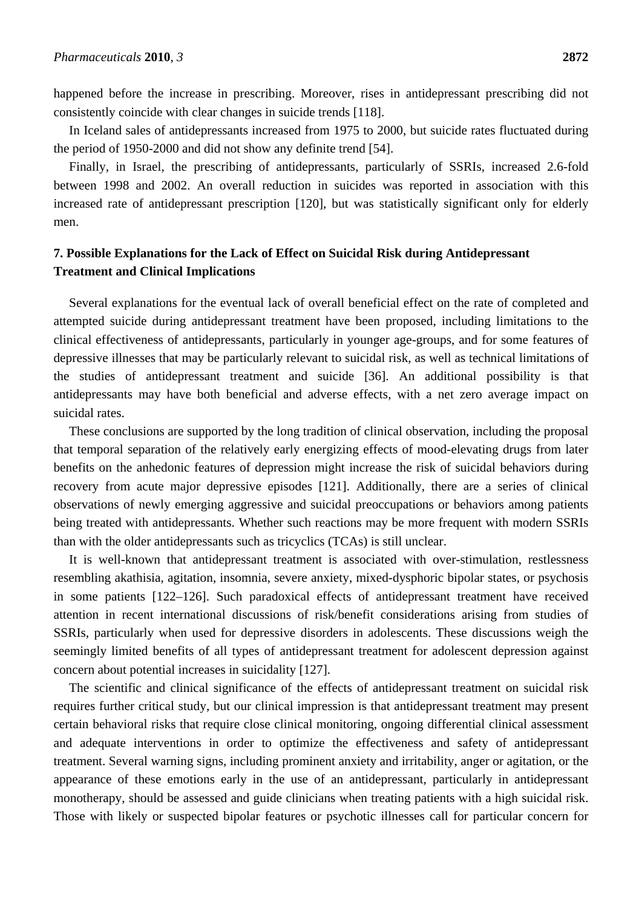happened before the increase in prescribing. Moreover, rises in antidepressant prescribing did not consistently coincide with clear changes in suicide trends [118].

In Iceland sales of antidepressants increased from 1975 to 2000, but suicide rates fluctuated during the period of 1950-2000 and did not show any definite trend [54].

Finally, in Israel, the prescribing of antidepressants, particularly of SSRIs, increased 2.6-fold between 1998 and 2002. An overall reduction in suicides was reported in association with this increased rate of antidepressant prescription [120], but was statistically significant only for elderly men.

## **7. Possible Explanations for the Lack of Effect on Suicidal Risk during Antidepressant Treatment and Clinical Implications**

Several explanations for the eventual lack of overall beneficial effect on the rate of completed and attempted suicide during antidepressant treatment have been proposed, including limitations to the clinical effectiveness of antidepressants, particularly in younger age-groups, and for some features of depressive illnesses that may be particularly relevant to suicidal risk, as well as technical limitations of the studies of antidepressant treatment and suicide [36]. An additional possibility is that antidepressants may have both beneficial and adverse effects, with a net zero average impact on suicidal rates.

These conclusions are supported by the long tradition of clinical observation, including the proposal that temporal separation of the relatively early energizing effects of mood-elevating drugs from later benefits on the anhedonic features of depression might increase the risk of suicidal behaviors during recovery from acute major depressive episodes [121]. Additionally, there are a series of clinical observations of newly emerging aggressive and suicidal preoccupations or behaviors among patients being treated with antidepressants. Whether such reactions may be more frequent with modern SSRIs than with the older antidepressants such as tricyclics (TCAs) is still unclear.

It is well-known that antidepressant treatment is associated with over-stimulation, restlessness resembling akathisia, agitation, insomnia, severe anxiety, mixed-dysphoric bipolar states, or psychosis in some patients [122–126]. Such paradoxical effects of antidepressant treatment have received attention in recent international discussions of risk/benefit considerations arising from studies of SSRIs, particularly when used for depressive disorders in adolescents. These discussions weigh the seemingly limited benefits of all types of antidepressant treatment for adolescent depression against concern about potential increases in suicidality [127].

The scientific and clinical significance of the effects of antidepressant treatment on suicidal risk requires further critical study, but our clinical impression is that antidepressant treatment may present certain behavioral risks that require close clinical monitoring, ongoing differential clinical assessment and adequate interventions in order to optimize the effectiveness and safety of antidepressant treatment. Several warning signs, including prominent anxiety and irritability, anger or agitation, or the appearance of these emotions early in the use of an antidepressant, particularly in antidepressant monotherapy, should be assessed and guide clinicians when treating patients with a high suicidal risk. Those with likely or suspected bipolar features or psychotic illnesses call for particular concern for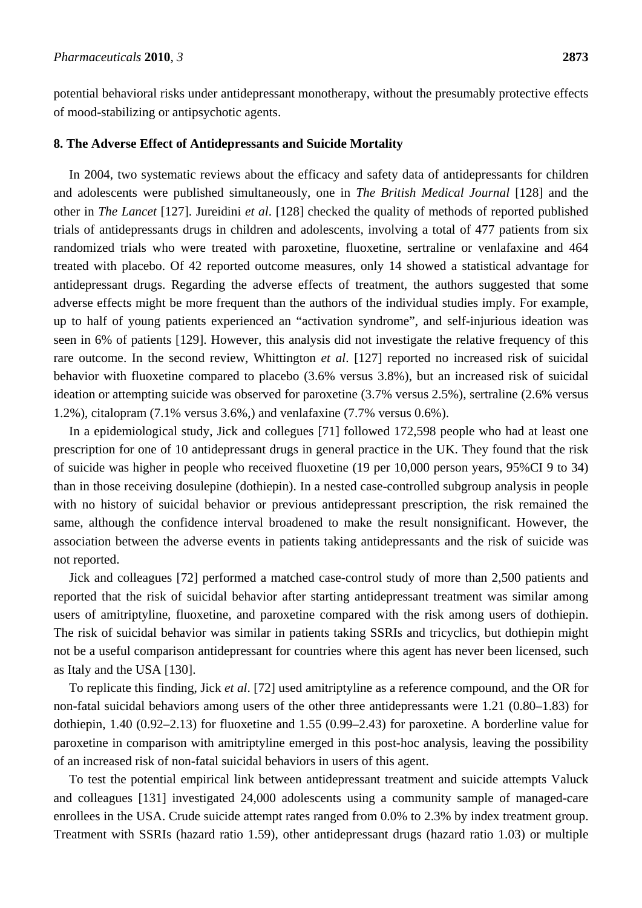potential behavioral risks under antidepressant monotherapy, without the presumably protective effects of mood-stabilizing or antipsychotic agents.

#### **8. The Adverse Effect of Antidepressants and Suicide Mortality**

In 2004, two systematic reviews about the efficacy and safety data of antidepressants for children and adolescents were published simultaneously, one in *The British Medical Journal* [128] and the other in *The Lancet* [127]. Jureidini *et al*. [128] checked the quality of methods of reported published trials of antidepressants drugs in children and adolescents, involving a total of 477 patients from six randomized trials who were treated with paroxetine, fluoxetine, sertraline or venlafaxine and 464 treated with placebo. Of 42 reported outcome measures, only 14 showed a statistical advantage for antidepressant drugs. Regarding the adverse effects of treatment, the authors suggested that some adverse effects might be more frequent than the authors of the individual studies imply. For example, up to half of young patients experienced an "activation syndrome", and self-injurious ideation was seen in 6% of patients [129]. However, this analysis did not investigate the relative frequency of this rare outcome. In the second review, Whittington *et al*. [127] reported no increased risk of suicidal behavior with fluoxetine compared to placebo (3.6% versus 3.8%), but an increased risk of suicidal ideation or attempting suicide was observed for paroxetine (3.7% versus 2.5%), sertraline (2.6% versus 1.2%), citalopram (7.1% versus 3.6%,) and venlafaxine (7.7% versus 0.6%).

In a epidemiological study, Jick and collegues [71] followed 172,598 people who had at least one prescription for one of 10 antidepressant drugs in general practice in the UK. They found that the risk of suicide was higher in people who received fluoxetine (19 per 10,000 person years, 95%CI 9 to 34) than in those receiving dosulepine (dothiepin). In a nested case-controlled subgroup analysis in people with no history of suicidal behavior or previous antidepressant prescription, the risk remained the same, although the confidence interval broadened to make the result nonsignificant. However, the association between the adverse events in patients taking antidepressants and the risk of suicide was not reported.

Jick and colleagues [72] performed a matched case-control study of more than 2,500 patients and reported that the risk of suicidal behavior after starting antidepressant treatment was similar among users of amitriptyline, fluoxetine, and paroxetine compared with the risk among users of dothiepin. The risk of suicidal behavior was similar in patients taking SSRIs and tricyclics, but dothiepin might not be a useful comparison antidepressant for countries where this agent has never been licensed, such as Italy and the USA [130].

To replicate this finding, Jick *et al*. [72] used amitriptyline as a reference compound, and the OR for non-fatal suicidal behaviors among users of the other three antidepressants were 1.21 (0.80–1.83) for dothiepin, 1.40 (0.92–2.13) for fluoxetine and 1.55 (0.99–2.43) for paroxetine. A borderline value for paroxetine in comparison with amitriptyline emerged in this post-hoc analysis, leaving the possibility of an increased risk of non-fatal suicidal behaviors in users of this agent.

To test the potential empirical link between antidepressant treatment and suicide attempts Valuck and colleagues [131] investigated 24,000 adolescents using a community sample of managed-care enrollees in the USA. Crude suicide attempt rates ranged from 0.0% to 2.3% by index treatment group. Treatment with SSRIs (hazard ratio 1.59), other antidepressant drugs (hazard ratio 1.03) or multiple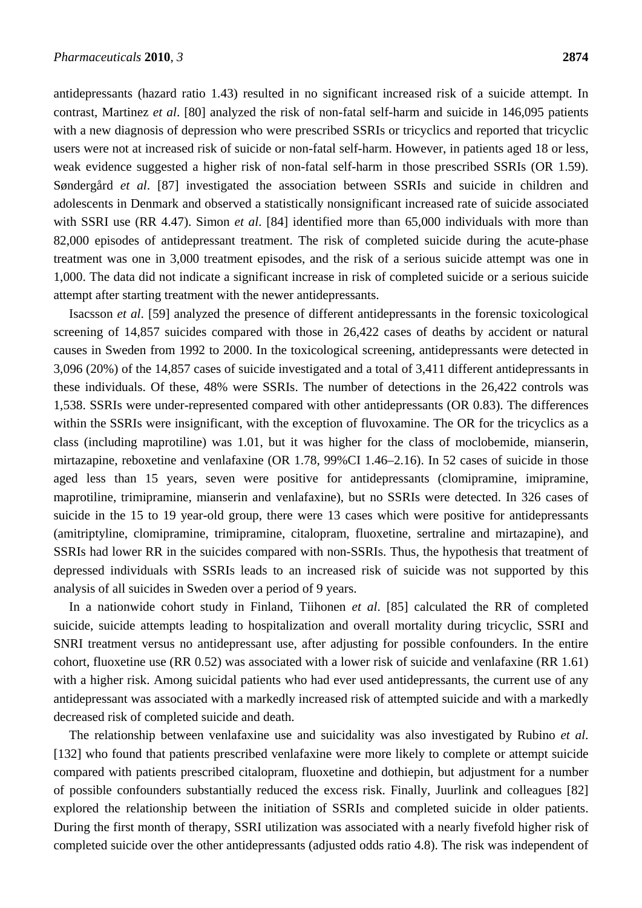antidepressants (hazard ratio 1.43) resulted in no significant increased risk of a suicide attempt. In contrast, Martinez *et al*. [80] analyzed the risk of non-fatal self-harm and suicide in 146,095 patients with a new diagnosis of depression who were prescribed SSRIs or tricyclics and reported that tricyclic users were not at increased risk of suicide or non-fatal self-harm. However, in patients aged 18 or less, weak evidence suggested a higher risk of non-fatal self-harm in those prescribed SSRIs (OR 1.59). Søndergård *et al*. [87] investigated the association between SSRIs and suicide in children and adolescents in Denmark and observed a statistically nonsignificant increased rate of suicide associated with SSRI use (RR 4.47). Simon *et al*. [84] identified more than 65,000 individuals with more than 82,000 episodes of antidepressant treatment. The risk of completed suicide during the acute-phase treatment was one in 3,000 treatment episodes, and the risk of a serious suicide attempt was one in 1,000. The data did not indicate a significant increase in risk of completed suicide or a serious suicide attempt after starting treatment with the newer antidepressants.

Isacsson *et al*. [59] analyzed the presence of different antidepressants in the forensic toxicological screening of 14,857 suicides compared with those in 26,422 cases of deaths by accident or natural causes in Sweden from 1992 to 2000. In the toxicological screening, antidepressants were detected in 3,096 (20%) of the 14,857 cases of suicide investigated and a total of 3,411 different antidepressants in these individuals. Of these, 48% were SSRIs. The number of detections in the 26,422 controls was 1,538. SSRIs were under-represented compared with other antidepressants (OR 0.83). The differences within the SSRIs were insignificant, with the exception of fluvoxamine. The OR for the tricyclics as a class (including maprotiline) was 1.01, but it was higher for the class of moclobemide, mianserin, mirtazapine, reboxetine and venlafaxine (OR 1.78, 99%CI 1.46–2.16). In 52 cases of suicide in those aged less than 15 years, seven were positive for antidepressants (clomipramine, imipramine, maprotiline, trimipramine, mianserin and venlafaxine), but no SSRIs were detected. In 326 cases of suicide in the 15 to 19 year-old group, there were 13 cases which were positive for antidepressants (amitriptyline, clomipramine, trimipramine, citalopram, fluoxetine, sertraline and mirtazapine), and SSRIs had lower RR in the suicides compared with non-SSRIs. Thus, the hypothesis that treatment of depressed individuals with SSRIs leads to an increased risk of suicide was not supported by this analysis of all suicides in Sweden over a period of 9 years.

In a nationwide cohort study in Finland, Tiihonen *et al*. [85] calculated the RR of completed suicide, suicide attempts leading to hospitalization and overall mortality during tricyclic, SSRI and SNRI treatment versus no antidepressant use, after adjusting for possible confounders. In the entire cohort, fluoxetine use (RR 0.52) was associated with a lower risk of suicide and venlafaxine (RR 1.61) with a higher risk. Among suicidal patients who had ever used antidepressants, the current use of any antidepressant was associated with a markedly increased risk of attempted suicide and with a markedly decreased risk of completed suicide and death.

The relationship between venlafaxine use and suicidality was also investigated by Rubino *et al*. [132] who found that patients prescribed venlafaxine were more likely to complete or attempt suicide compared with patients prescribed citalopram, fluoxetine and dothiepin, but adjustment for a number of possible confounders substantially reduced the excess risk. Finally, Juurlink and colleagues [82] explored the relationship between the initiation of SSRIs and completed suicide in older patients. During the first month of therapy, SSRI utilization was associated with a nearly fivefold higher risk of completed suicide over the other antidepressants (adjusted odds ratio 4.8). The risk was independent of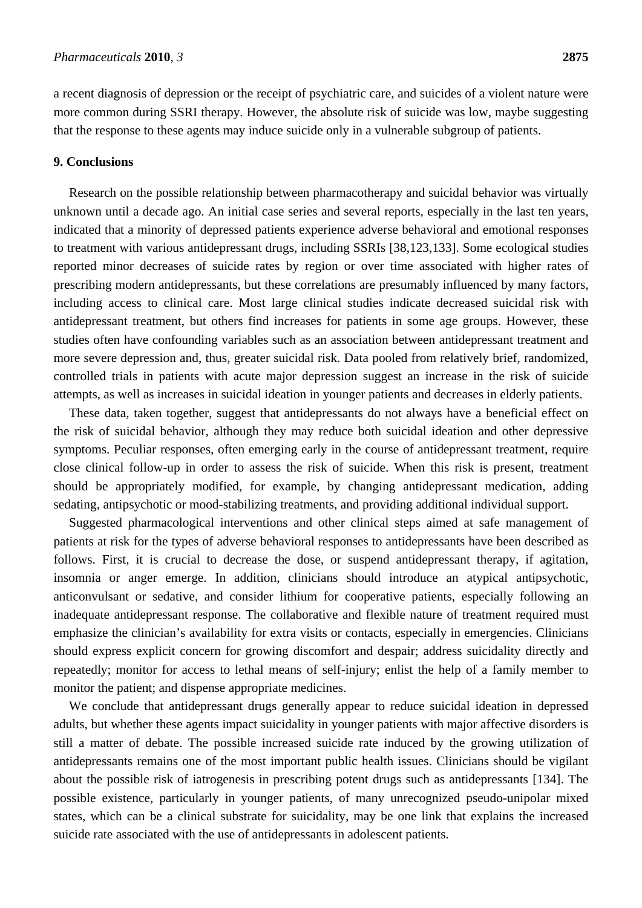a recent diagnosis of depression or the receipt of psychiatric care, and suicides of a violent nature were more common during SSRI therapy. However, the absolute risk of suicide was low, maybe suggesting that the response to these agents may induce suicide only in a vulnerable subgroup of patients.

#### **9. Conclusions**

Research on the possible relationship between pharmacotherapy and suicidal behavior was virtually unknown until a decade ago. An initial case series and several reports, especially in the last ten years, indicated that a minority of depressed patients experience adverse behavioral and emotional responses to treatment with various antidepressant drugs, including SSRIs [38,123,133]. Some ecological studies reported minor decreases of suicide rates by region or over time associated with higher rates of prescribing modern antidepressants, but these correlations are presumably influenced by many factors, including access to clinical care. Most large clinical studies indicate decreased suicidal risk with antidepressant treatment, but others find increases for patients in some age groups. However, these studies often have confounding variables such as an association between antidepressant treatment and more severe depression and, thus, greater suicidal risk. Data pooled from relatively brief, randomized, controlled trials in patients with acute major depression suggest an increase in the risk of suicide attempts, as well as increases in suicidal ideation in younger patients and decreases in elderly patients.

These data, taken together, suggest that antidepressants do not always have a beneficial effect on the risk of suicidal behavior, although they may reduce both suicidal ideation and other depressive symptoms. Peculiar responses, often emerging early in the course of antidepressant treatment, require close clinical follow-up in order to assess the risk of suicide. When this risk is present, treatment should be appropriately modified, for example, by changing antidepressant medication, adding sedating, antipsychotic or mood-stabilizing treatments, and providing additional individual support.

Suggested pharmacological interventions and other clinical steps aimed at safe management of patients at risk for the types of adverse behavioral responses to antidepressants have been described as follows. First, it is crucial to decrease the dose, or suspend antidepressant therapy, if agitation, insomnia or anger emerge. In addition, clinicians should introduce an atypical antipsychotic, anticonvulsant or sedative, and consider lithium for cooperative patients, especially following an inadequate antidepressant response. The collaborative and flexible nature of treatment required must emphasize the clinician's availability for extra visits or contacts, especially in emergencies. Clinicians should express explicit concern for growing discomfort and despair; address suicidality directly and repeatedly; monitor for access to lethal means of self-injury; enlist the help of a family member to monitor the patient; and dispense appropriate medicines.

We conclude that antidepressant drugs generally appear to reduce suicidal ideation in depressed adults, but whether these agents impact suicidality in younger patients with major affective disorders is still a matter of debate. The possible increased suicide rate induced by the growing utilization of antidepressants remains one of the most important public health issues. Clinicians should be vigilant about the possible risk of iatrogenesis in prescribing potent drugs such as antidepressants [134]. The possible existence, particularly in younger patients, of many unrecognized pseudo-unipolar mixed states, which can be a clinical substrate for suicidality, may be one link that explains the increased suicide rate associated with the use of antidepressants in adolescent patients.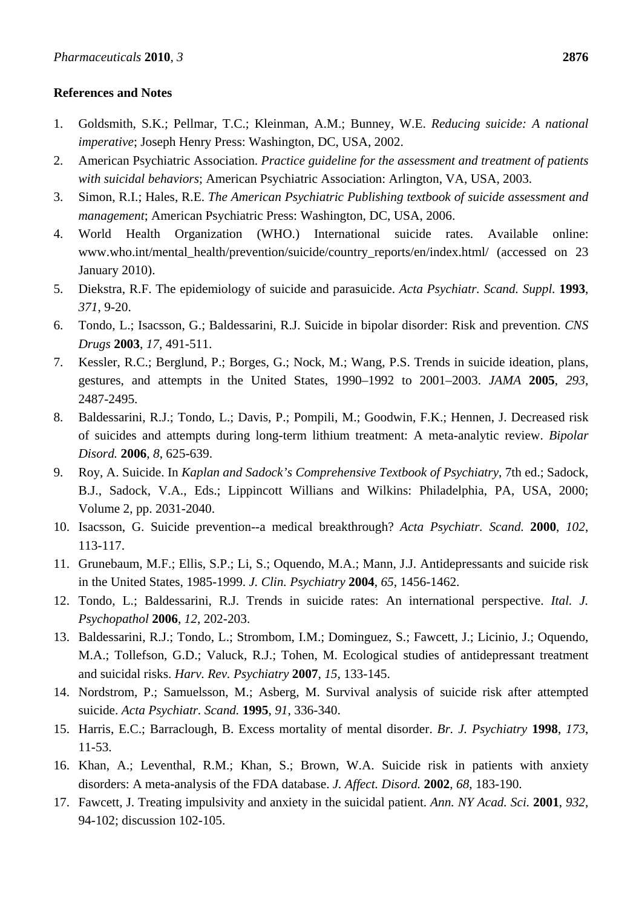### **References and Notes**

- 1. Goldsmith, S.K.; Pellmar, T.C.; Kleinman, A.M.; Bunney, W.E. *Reducing suicide: A national imperative*; Joseph Henry Press: Washington, DC, USA, 2002.
- 2. American Psychiatric Association. *Practice guideline for the assessment and treatment of patients with suicidal behaviors*; American Psychiatric Association: Arlington, VA, USA, 2003.
- 3. Simon, R.I.; Hales, R.E. *The American Psychiatric Publishing textbook of suicide assessment and management*; American Psychiatric Press: Washington, DC, USA, 2006.
- 4. World Health Organization (WHO.) International suicide rates. Available online: www.who.int/mental\_health/prevention/suicide/country\_reports/en/index.html/ (accessed on 23 January 2010).
- 5. Diekstra, R.F. The epidemiology of suicide and parasuicide. *Acta Psychiatr. Scand. Suppl.* **1993**, *371*, 9-20.
- 6. Tondo, L.; Isacsson, G.; Baldessarini, R.J. Suicide in bipolar disorder: Risk and prevention. *CNS Drugs* **2003**, *17*, 491-511.
- 7. Kessler, R.C.; Berglund, P.; Borges, G.; Nock, M.; Wang, P.S. Trends in suicide ideation, plans, gestures, and attempts in the United States, 1990–1992 to 2001–2003. *JAMA* **2005**, *293*, 2487-2495.
- 8. Baldessarini, R.J.; Tondo, L.; Davis, P.; Pompili, M.; Goodwin, F.K.; Hennen, J. Decreased risk of suicides and attempts during long-term lithium treatment: A meta-analytic review. *Bipolar Disord.* **2006**, *8*, 625-639.
- 9. Roy, A. Suicide. In *Kaplan and Sadock's Comprehensive Textbook of Psychiatry*, 7th ed.; Sadock, B.J., Sadock, V.A., Eds.; Lippincott Willians and Wilkins: Philadelphia, PA, USA, 2000; Volume 2, pp. 2031-2040.
- 10. Isacsson, G. Suicide prevention--a medical breakthrough? *Acta Psychiatr. Scand.* **2000**, *102*, 113-117.
- 11. Grunebaum, M.F.; Ellis, S.P.; Li, S.; Oquendo, M.A.; Mann, J.J. Antidepressants and suicide risk in the United States, 1985-1999. *J. Clin. Psychiatry* **2004**, *65*, 1456-1462.
- 12. Tondo, L.; Baldessarini, R.J. Trends in suicide rates: An international perspective. *Ital. J. Psychopathol* **2006**, *12*, 202-203.
- 13. Baldessarini, R.J.; Tondo, L.; Strombom, I.M.; Dominguez, S.; Fawcett, J.; Licinio, J.; Oquendo, M.A.; Tollefson, G.D.; Valuck, R.J.; Tohen, M. Ecological studies of antidepressant treatment and suicidal risks. *Harv. Rev. Psychiatry* **2007**, *15*, 133-145.
- 14. Nordstrom, P.; Samuelsson, M.; Asberg, M. Survival analysis of suicide risk after attempted suicide. *Acta Psychiatr. Scand.* **1995**, *91*, 336-340.
- 15. Harris, E.C.; Barraclough, B. Excess mortality of mental disorder. *Br. J. Psychiatry* **1998**, *173*, 11-53.
- 16. Khan, A.; Leventhal, R.M.; Khan, S.; Brown, W.A. Suicide risk in patients with anxiety disorders: A meta-analysis of the FDA database. *J. Affect. Disord.* **2002**, *68*, 183-190.
- 17. Fawcett, J. Treating impulsivity and anxiety in the suicidal patient. *Ann. NY Acad. Sci.* **2001**, *932*, 94-102; discussion 102-105.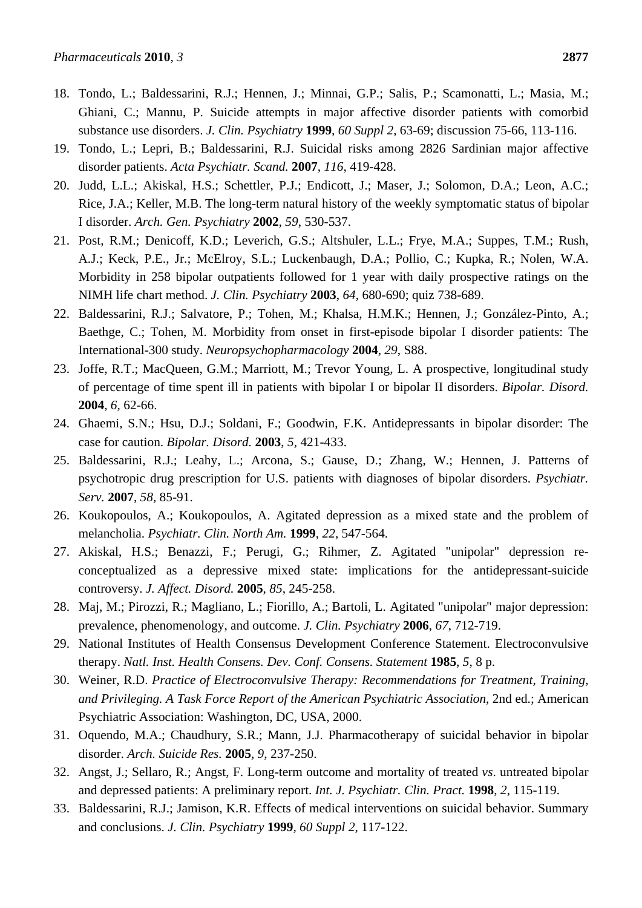- 18. Tondo, L.; Baldessarini, R.J.; Hennen, J.; Minnai, G.P.; Salis, P.; Scamonatti, L.; Masia, M.; Ghiani, C.; Mannu, P. Suicide attempts in major affective disorder patients with comorbid substance use disorders. *J. Clin. Psychiatry* **1999**, *60 Suppl 2*, 63-69; discussion 75-66, 113-116.
- 19. Tondo, L.; Lepri, B.; Baldessarini, R.J. Suicidal risks among 2826 Sardinian major affective disorder patients. *Acta Psychiatr. Scand.* **2007**, *116*, 419-428.
- 20. Judd, L.L.; Akiskal, H.S.; Schettler, P.J.; Endicott, J.; Maser, J.; Solomon, D.A.; Leon, A.C.; Rice, J.A.; Keller, M.B. The long-term natural history of the weekly symptomatic status of bipolar I disorder. *Arch. Gen. Psychiatry* **2002**, *59*, 530-537.
- 21. Post, R.M.; Denicoff, K.D.; Leverich, G.S.; Altshuler, L.L.; Frye, M.A.; Suppes, T.M.; Rush, A.J.; Keck, P.E., Jr.; McElroy, S.L.; Luckenbaugh, D.A.; Pollio, C.; Kupka, R.; Nolen, W.A. Morbidity in 258 bipolar outpatients followed for 1 year with daily prospective ratings on the NIMH life chart method. *J. Clin. Psychiatry* **2003**, *64*, 680-690; quiz 738-689.
- 22. Baldessarini, R.J.; Salvatore, P.; Tohen, M.; Khalsa, H.M.K.; Hennen, J.; González-Pinto, A.; Baethge, C.; Tohen, M. Morbidity from onset in first-episode bipolar I disorder patients: The International-300 study. *Neuropsychopharmacology* **2004**, *29*, S88.
- 23. Joffe, R.T.; MacQueen, G.M.; Marriott, M.; Trevor Young, L. A prospective, longitudinal study of percentage of time spent ill in patients with bipolar I or bipolar II disorders. *Bipolar. Disord.*  **2004**, *6*, 62-66.
- 24. Ghaemi, S.N.; Hsu, D.J.; Soldani, F.; Goodwin, F.K. Antidepressants in bipolar disorder: The case for caution. *Bipolar. Disord.* **2003**, *5*, 421-433.
- 25. Baldessarini, R.J.; Leahy, L.; Arcona, S.; Gause, D.; Zhang, W.; Hennen, J. Patterns of psychotropic drug prescription for U.S. patients with diagnoses of bipolar disorders. *Psychiatr. Serv.* **2007**, *58*, 85-91.
- 26. Koukopoulos, A.; Koukopoulos, A. Agitated depression as a mixed state and the problem of melancholia. *Psychiatr. Clin. North Am.* **1999**, *22*, 547-564.
- 27. Akiskal, H.S.; Benazzi, F.; Perugi, G.; Rihmer, Z. Agitated "unipolar" depression reconceptualized as a depressive mixed state: implications for the antidepressant-suicide controversy. *J. Affect. Disord.* **2005**, *85*, 245-258.
- 28. Maj, M.; Pirozzi, R.; Magliano, L.; Fiorillo, A.; Bartoli, L. Agitated "unipolar" major depression: prevalence, phenomenology, and outcome. *J. Clin. Psychiatry* **2006**, *67*, 712-719.
- 29. National Institutes of Health Consensus Development Conference Statement. Electroconvulsive therapy. *Natl. Inst. Health Consens. Dev. Conf. Consens. Statement* **1985**, *5*, 8 p.
- 30. Weiner, R.D. *Practice of Electroconvulsive Therapy: Recommendations for Treatment, Training, and Privileging. A Task Force Report of the American Psychiatric Association*, 2nd ed.; American Psychiatric Association: Washington, DC, USA, 2000.
- 31. Oquendo, M.A.; Chaudhury, S.R.; Mann, J.J. Pharmacotherapy of suicidal behavior in bipolar disorder. *Arch. Suicide Res.* **2005**, *9*, 237-250.
- 32. Angst, J.; Sellaro, R.; Angst, F. Long-term outcome and mortality of treated *vs*. untreated bipolar and depressed patients: A preliminary report. *Int. J. Psychiatr. Clin. Pract.* **1998**, *2*, 115-119.
- 33. Baldessarini, R.J.; Jamison, K.R. Effects of medical interventions on suicidal behavior. Summary and conclusions. *J. Clin. Psychiatry* **1999**, *60 Suppl 2*, 117-122.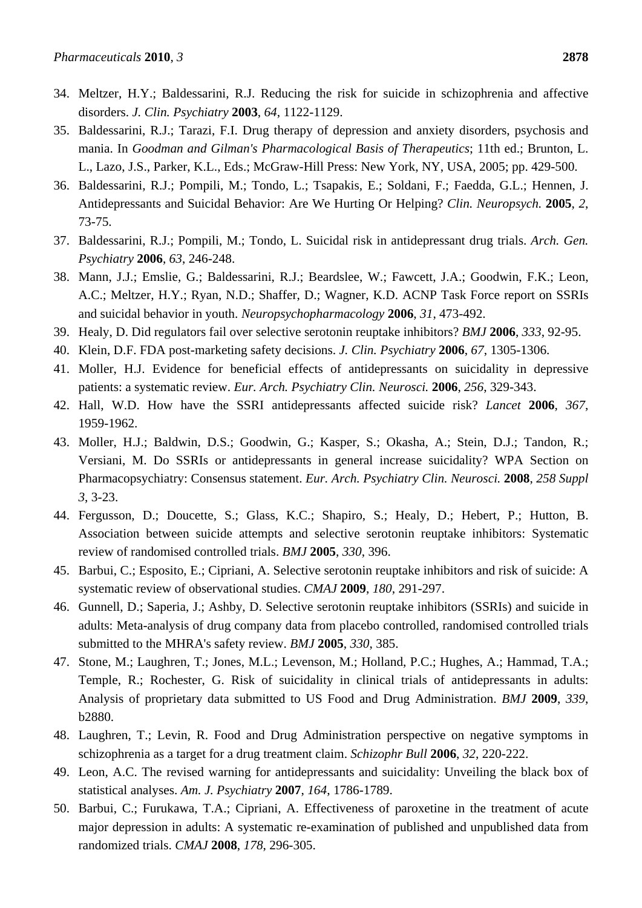- 34. Meltzer, H.Y.; Baldessarini, R.J. Reducing the risk for suicide in schizophrenia and affective disorders. *J. Clin. Psychiatry* **2003**, *64*, 1122-1129.
- 35. Baldessarini, R.J.; Tarazi, F.I. Drug therapy of depression and anxiety disorders, psychosis and mania. In *Goodman and Gilman's Pharmacological Basis of Therapeutics*; 11th ed.; Brunton, L. L., Lazo, J.S., Parker, K.L., Eds.; McGraw-Hill Press: New York, NY, USA, 2005; pp. 429-500.
- 36. Baldessarini, R.J.; Pompili, M.; Tondo, L.; Tsapakis, E.; Soldani, F.; Faedda, G.L.; Hennen, J. Antidepressants and Suicidal Behavior: Are We Hurting Or Helping? *Clin. Neuropsych.* **2005**, *2*, 73-75.
- 37. Baldessarini, R.J.; Pompili, M.; Tondo, L. Suicidal risk in antidepressant drug trials. *Arch. Gen. Psychiatry* **2006**, *63*, 246-248.
- 38. Mann, J.J.; Emslie, G.; Baldessarini, R.J.; Beardslee, W.; Fawcett, J.A.; Goodwin, F.K.; Leon, A.C.; Meltzer, H.Y.; Ryan, N.D.; Shaffer, D.; Wagner, K.D. ACNP Task Force report on SSRIs and suicidal behavior in youth. *Neuropsychopharmacology* **2006**, *31*, 473-492.
- 39. Healy, D. Did regulators fail over selective serotonin reuptake inhibitors? *BMJ* **2006**, *333*, 92-95.
- 40. Klein, D.F. FDA post-marketing safety decisions. *J. Clin. Psychiatry* **2006**, *67*, 1305-1306.
- 41. Moller, H.J. Evidence for beneficial effects of antidepressants on suicidality in depressive patients: a systematic review. *Eur. Arch. Psychiatry Clin. Neurosci.* **2006**, *256*, 329-343.
- 42. Hall, W.D. How have the SSRI antidepressants affected suicide risk? *Lancet* **2006**, *367*, 1959-1962.
- 43. Moller, H.J.; Baldwin, D.S.; Goodwin, G.; Kasper, S.; Okasha, A.; Stein, D.J.; Tandon, R.; Versiani, M. Do SSRIs or antidepressants in general increase suicidality? WPA Section on Pharmacopsychiatry: Consensus statement. *Eur. Arch. Psychiatry Clin. Neurosci.* **2008**, *258 Suppl 3*, 3-23.
- 44. Fergusson, D.; Doucette, S.; Glass, K.C.; Shapiro, S.; Healy, D.; Hebert, P.; Hutton, B. Association between suicide attempts and selective serotonin reuptake inhibitors: Systematic review of randomised controlled trials. *BMJ* **2005**, *330*, 396.
- 45. Barbui, C.; Esposito, E.; Cipriani, A. Selective serotonin reuptake inhibitors and risk of suicide: A systematic review of observational studies. *CMAJ* **2009**, *180*, 291-297.
- 46. Gunnell, D.; Saperia, J.; Ashby, D. Selective serotonin reuptake inhibitors (SSRIs) and suicide in adults: Meta-analysis of drug company data from placebo controlled, randomised controlled trials submitted to the MHRA's safety review. *BMJ* **2005**, *330*, 385.
- 47. Stone, M.; Laughren, T.; Jones, M.L.; Levenson, M.; Holland, P.C.; Hughes, A.; Hammad, T.A.; Temple, R.; Rochester, G. Risk of suicidality in clinical trials of antidepressants in adults: Analysis of proprietary data submitted to US Food and Drug Administration. *BMJ* **2009**, *339*, b2880.
- 48. Laughren, T.; Levin, R. Food and Drug Administration perspective on negative symptoms in schizophrenia as a target for a drug treatment claim. *Schizophr Bull* **2006**, *32*, 220-222.
- 49. Leon, A.C. The revised warning for antidepressants and suicidality: Unveiling the black box of statistical analyses. *Am. J. Psychiatry* **2007**, *164*, 1786-1789.
- 50. Barbui, C.; Furukawa, T.A.; Cipriani, A. Effectiveness of paroxetine in the treatment of acute major depression in adults: A systematic re-examination of published and unpublished data from randomized trials. *CMAJ* **2008**, *178*, 296-305.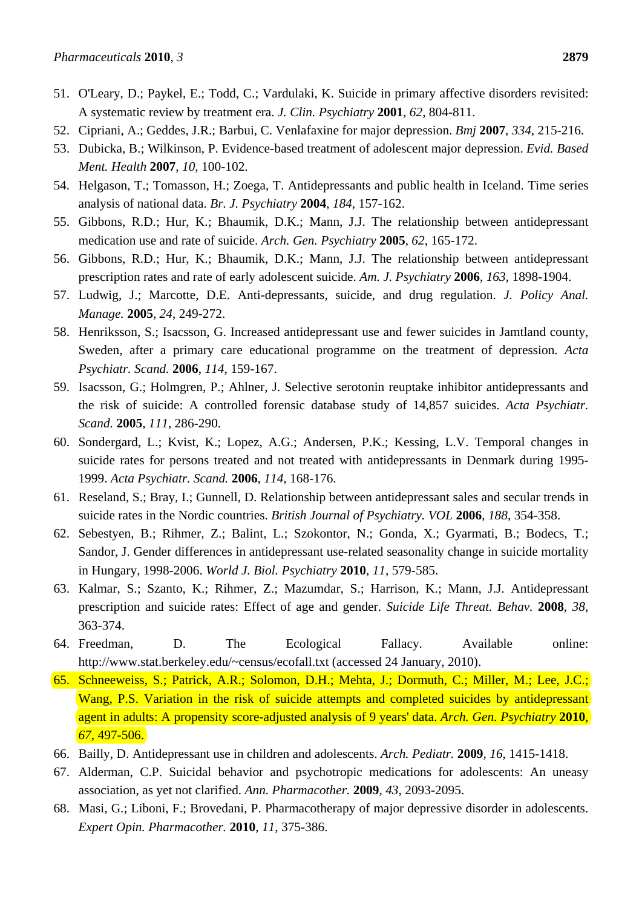- 51. O'Leary, D.; Paykel, E.; Todd, C.; Vardulaki, K. Suicide in primary affective disorders revisited: A systematic review by treatment era. *J. Clin. Psychiatry* **2001**, *62*, 804-811.
- 52. Cipriani, A.; Geddes, J.R.; Barbui, C. Venlafaxine for major depression. *Bmj* **2007**, *334*, 215-216.
- 53. Dubicka, B.; Wilkinson, P. Evidence-based treatment of adolescent major depression. *Evid. Based Ment. Health* **2007**, *10*, 100-102.
- 54. Helgason, T.; Tomasson, H.; Zoega, T. Antidepressants and public health in Iceland. Time series analysis of national data. *Br. J. Psychiatry* **2004**, *184*, 157-162.
- 55. Gibbons, R.D.; Hur, K.; Bhaumik, D.K.; Mann, J.J. The relationship between antidepressant medication use and rate of suicide. *Arch. Gen. Psychiatry* **2005**, *62*, 165-172.
- 56. Gibbons, R.D.; Hur, K.; Bhaumik, D.K.; Mann, J.J. The relationship between antidepressant prescription rates and rate of early adolescent suicide. *Am. J. Psychiatry* **2006**, *163*, 1898-1904.
- 57. Ludwig, J.; Marcotte, D.E. Anti-depressants, suicide, and drug regulation. *J. Policy Anal. Manage.* **2005**, *24*, 249-272.
- 58. Henriksson, S.; Isacsson, G. Increased antidepressant use and fewer suicides in Jamtland county, Sweden, after a primary care educational programme on the treatment of depression. *Acta Psychiatr. Scand.* **2006**, *114*, 159-167.
- 59. Isacsson, G.; Holmgren, P.; Ahlner, J. Selective serotonin reuptake inhibitor antidepressants and the risk of suicide: A controlled forensic database study of 14,857 suicides. *Acta Psychiatr. Scand.* **2005**, *111*, 286-290.
- 60. Sondergard, L.; Kvist, K.; Lopez, A.G.; Andersen, P.K.; Kessing, L.V. Temporal changes in suicide rates for persons treated and not treated with antidepressants in Denmark during 1995- 1999. *Acta Psychiatr. Scand.* **2006**, *114*, 168-176.
- 61. Reseland, S.; Bray, I.; Gunnell, D. Relationship between antidepressant sales and secular trends in suicide rates in the Nordic countries. *British Journal of Psychiatry. VOL* **2006**, *188*, 354-358.
- 62. Sebestyen, B.; Rihmer, Z.; Balint, L.; Szokontor, N.; Gonda, X.; Gyarmati, B.; Bodecs, T.; Sandor, J. Gender differences in antidepressant use-related seasonality change in suicide mortality in Hungary, 1998-2006. *World J. Biol. Psychiatry* **2010**, *11*, 579-585.
- 63. Kalmar, S.; Szanto, K.; Rihmer, Z.; Mazumdar, S.; Harrison, K.; Mann, J.J. Antidepressant prescription and suicide rates: Effect of age and gender. *Suicide Life Threat. Behav.* **2008**, *38*, 363-374.
- 64. Freedman, D. The Ecological Fallacy. Available online: http://www.stat.berkeley.edu/~census/ecofall.txt (accessed 24 January, 2010).
- 65. Schneeweiss, S.; Patrick, A.R.; Solomon, D.H.; Mehta, J.; Dormuth, C.; Miller, M.; Lee, J.C.; Wang, P.S. Variation in the risk of suicide attempts and completed suicides by antidepressant agent in adults: A propensity score-adjusted analysis of 9 years' data. *Arch. Gen. Psychiatry* **2010**, *67*, 497-506.
- 66. Bailly, D. Antidepressant use in children and adolescents. *Arch. Pediatr.* **2009**, *16*, 1415-1418.
- 67. Alderman, C.P. Suicidal behavior and psychotropic medications for adolescents: An uneasy association, as yet not clarified. *Ann. Pharmacother.* **2009**, *43*, 2093-2095.
- 68. Masi, G.; Liboni, F.; Brovedani, P. Pharmacotherapy of major depressive disorder in adolescents. *Expert Opin. Pharmacother.* **2010**, *11*, 375-386.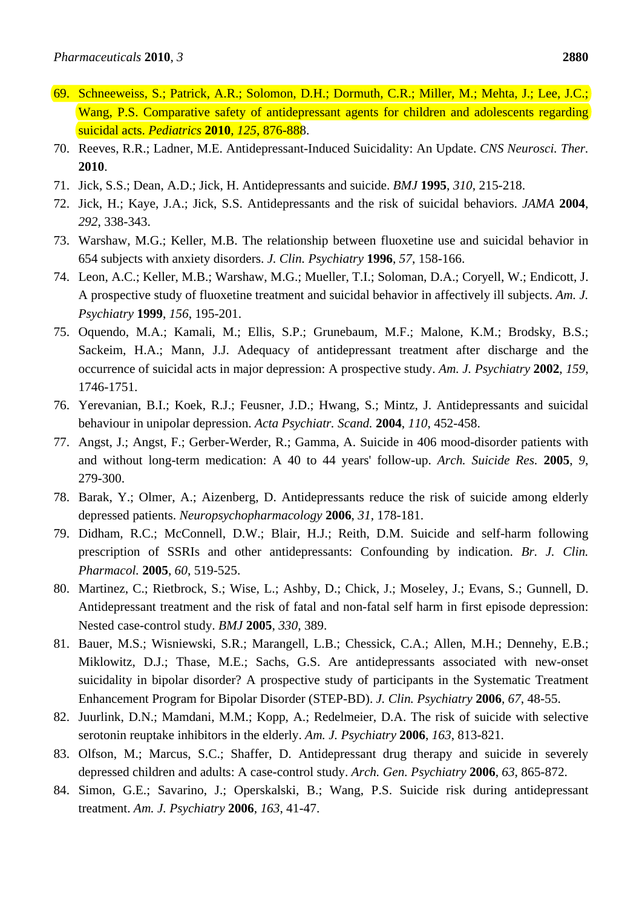- 69. Schneeweiss, S.; Patrick, A.R.; Solomon, D.H.; Dormuth, C.R.; Miller, M.; Mehta, J.; Lee, J.C.; Wang, P.S. Comparative safety of antidepressant agents for children and adolescents regarding suicidal acts. *Pediatrics* **2010**, *125*, 876-888.
- 70. Reeves, R.R.; Ladner, M.E. Antidepressant-Induced Suicidality: An Update. *CNS Neurosci. Ther.*  **2010**.
- 71. Jick, S.S.; Dean, A.D.; Jick, H. Antidepressants and suicide. *BMJ* **1995**, *310*, 215-218.
- 72. Jick, H.; Kaye, J.A.; Jick, S.S. Antidepressants and the risk of suicidal behaviors. *JAMA* **2004**, *292*, 338-343.
- 73. Warshaw, M.G.; Keller, M.B. The relationship between fluoxetine use and suicidal behavior in 654 subjects with anxiety disorders. *J. Clin. Psychiatry* **1996**, *57*, 158-166.
- 74. Leon, A.C.; Keller, M.B.; Warshaw, M.G.; Mueller, T.I.; Soloman, D.A.; Coryell, W.; Endicott, J. A prospective study of fluoxetine treatment and suicidal behavior in affectively ill subjects. *Am. J. Psychiatry* **1999**, *156*, 195-201.
- 75. Oquendo, M.A.; Kamali, M.; Ellis, S.P.; Grunebaum, M.F.; Malone, K.M.; Brodsky, B.S.; Sackeim, H.A.; Mann, J.J. Adequacy of antidepressant treatment after discharge and the occurrence of suicidal acts in major depression: A prospective study. *Am. J. Psychiatry* **2002**, *159*, 1746-1751.
- 76. Yerevanian, B.I.; Koek, R.J.; Feusner, J.D.; Hwang, S.; Mintz, J. Antidepressants and suicidal behaviour in unipolar depression. *Acta Psychiatr. Scand.* **2004**, *110*, 452-458.
- 77. Angst, J.; Angst, F.; Gerber-Werder, R.; Gamma, A. Suicide in 406 mood-disorder patients with and without long-term medication: A 40 to 44 years' follow-up. *Arch. Suicide Res.* **2005**, *9*, 279-300.
- 78. Barak, Y.; Olmer, A.; Aizenberg, D. Antidepressants reduce the risk of suicide among elderly depressed patients. *Neuropsychopharmacology* **2006**, *31*, 178-181.
- 79. Didham, R.C.; McConnell, D.W.; Blair, H.J.; Reith, D.M. Suicide and self-harm following prescription of SSRIs and other antidepressants: Confounding by indication. *Br. J. Clin. Pharmacol.* **2005**, *60*, 519-525.
- 80. Martinez, C.; Rietbrock, S.; Wise, L.; Ashby, D.; Chick, J.; Moseley, J.; Evans, S.; Gunnell, D. Antidepressant treatment and the risk of fatal and non-fatal self harm in first episode depression: Nested case-control study. *BMJ* **2005**, *330*, 389.
- 81. Bauer, M.S.; Wisniewski, S.R.; Marangell, L.B.; Chessick, C.A.; Allen, M.H.; Dennehy, E.B.; Miklowitz, D.J.; Thase, M.E.; Sachs, G.S. Are antidepressants associated with new-onset suicidality in bipolar disorder? A prospective study of participants in the Systematic Treatment Enhancement Program for Bipolar Disorder (STEP-BD). *J. Clin. Psychiatry* **2006**, *67*, 48-55.
- 82. Juurlink, D.N.; Mamdani, M.M.; Kopp, A.; Redelmeier, D.A. The risk of suicide with selective serotonin reuptake inhibitors in the elderly. *Am. J. Psychiatry* **2006**, *163*, 813-821.
- 83. Olfson, M.; Marcus, S.C.; Shaffer, D. Antidepressant drug therapy and suicide in severely depressed children and adults: A case-control study. *Arch. Gen. Psychiatry* **2006**, *63*, 865-872.
- 84. Simon, G.E.; Savarino, J.; Operskalski, B.; Wang, P.S. Suicide risk during antidepressant treatment. *Am. J. Psychiatry* **2006**, *163*, 41-47.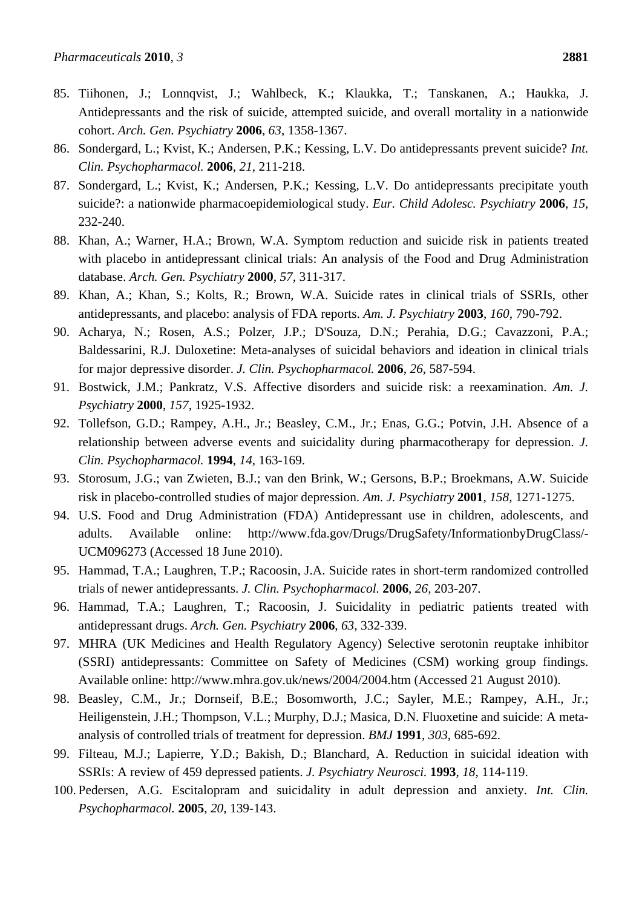- 85. Tiihonen, J.; Lonnqvist, J.; Wahlbeck, K.; Klaukka, T.; Tanskanen, A.; Haukka, J. Antidepressants and the risk of suicide, attempted suicide, and overall mortality in a nationwide cohort. *Arch. Gen. Psychiatry* **2006**, *63*, 1358-1367.
- 86. Sondergard, L.; Kvist, K.; Andersen, P.K.; Kessing, L.V. Do antidepressants prevent suicide? *Int. Clin. Psychopharmacol.* **2006**, *21*, 211-218.
- 87. Sondergard, L.; Kvist, K.; Andersen, P.K.; Kessing, L.V. Do antidepressants precipitate youth suicide?: a nationwide pharmacoepidemiological study. *Eur. Child Adolesc. Psychiatry* **2006**, *15*, 232-240.
- 88. Khan, A.; Warner, H.A.; Brown, W.A. Symptom reduction and suicide risk in patients treated with placebo in antidepressant clinical trials: An analysis of the Food and Drug Administration database. *Arch. Gen. Psychiatry* **2000**, *57*, 311-317.
- 89. Khan, A.; Khan, S.; Kolts, R.; Brown, W.A. Suicide rates in clinical trials of SSRIs, other antidepressants, and placebo: analysis of FDA reports. *Am. J. Psychiatry* **2003**, *160*, 790-792.
- 90. Acharya, N.; Rosen, A.S.; Polzer, J.P.; D'Souza, D.N.; Perahia, D.G.; Cavazzoni, P.A.; Baldessarini, R.J. Duloxetine: Meta-analyses of suicidal behaviors and ideation in clinical trials for major depressive disorder. *J. Clin. Psychopharmacol.* **2006**, *26*, 587-594.
- 91. Bostwick, J.M.; Pankratz, V.S. Affective disorders and suicide risk: a reexamination. *Am. J. Psychiatry* **2000**, *157*, 1925-1932.
- 92. Tollefson, G.D.; Rampey, A.H., Jr.; Beasley, C.M., Jr.; Enas, G.G.; Potvin, J.H. Absence of a relationship between adverse events and suicidality during pharmacotherapy for depression. *J. Clin. Psychopharmacol.* **1994**, *14*, 163-169.
- 93. Storosum, J.G.; van Zwieten, B.J.; van den Brink, W.; Gersons, B.P.; Broekmans, A.W. Suicide risk in placebo-controlled studies of major depression. *Am. J. Psychiatry* **2001**, *158*, 1271-1275.
- 94. U.S. Food and Drug Administration (FDA) Antidepressant use in children, adolescents, and adults. Available online: http://www.fda.gov/Drugs/DrugSafety/InformationbyDrugClass/- UCM096273 (Accessed 18 June 2010).
- 95. Hammad, T.A.; Laughren, T.P.; Racoosin, J.A. Suicide rates in short-term randomized controlled trials of newer antidepressants. *J. Clin. Psychopharmacol.* **2006**, *26*, 203-207.
- 96. Hammad, T.A.; Laughren, T.; Racoosin, J. Suicidality in pediatric patients treated with antidepressant drugs. *Arch. Gen. Psychiatry* **2006**, *63*, 332-339.
- 97. MHRA (UK Medicines and Health Regulatory Agency) Selective serotonin reuptake inhibitor (SSRI) antidepressants: Committee on Safety of Medicines (CSM) working group findings. Available online: http://www.mhra.gov.uk/news/2004/2004.htm (Accessed 21 August 2010).
- 98. Beasley, C.M., Jr.; Dornseif, B.E.; Bosomworth, J.C.; Sayler, M.E.; Rampey, A.H., Jr.; Heiligenstein, J.H.; Thompson, V.L.; Murphy, D.J.; Masica, D.N. Fluoxetine and suicide: A metaanalysis of controlled trials of treatment for depression. *BMJ* **1991**, *303*, 685-692.
- 99. Filteau, M.J.; Lapierre, Y.D.; Bakish, D.; Blanchard, A. Reduction in suicidal ideation with SSRIs: A review of 459 depressed patients. *J. Psychiatry Neurosci.* **1993**, *18*, 114-119.
- 100. Pedersen, A.G. Escitalopram and suicidality in adult depression and anxiety. *Int. Clin. Psychopharmacol.* **2005**, *20*, 139-143.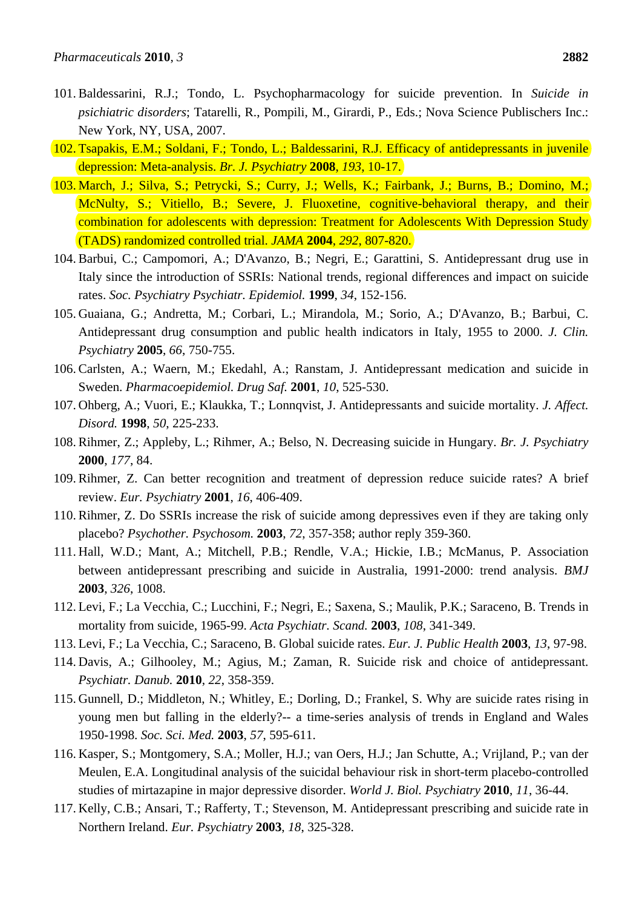- 101. Baldessarini, R.J.; Tondo, L. Psychopharmacology for suicide prevention. In *Suicide in psichiatric disorders*; Tatarelli, R., Pompili, M., Girardi, P., Eds.; Nova Science Publischers Inc.: New York, NY, USA, 2007.
- 102. Tsapakis, E.M.; Soldani, F.; Tondo, L.; Baldessarini, R.J. Efficacy of antidepressants in juvenile depression: Meta-analysis. *Br. J. Psychiatry* **2008**, *193*, 10-17.
- 103. March, J.; Silva, S.; Petrycki, S.; Curry, J.; Wells, K.; Fairbank, J.; Burns, B.; Domino, M.; McNulty, S.; Vitiello, B.; Severe, J. Fluoxetine, cognitive-behavioral therapy, and their combination for adolescents with depression: Treatment for Adolescents With Depression Study (TADS) randomized controlled trial. *JAMA* **2004**, *292*, 807-820.
- 104. Barbui, C.; Campomori, A.; D'Avanzo, B.; Negri, E.; Garattini, S. Antidepressant drug use in Italy since the introduction of SSRIs: National trends, regional differences and impact on suicide rates. *Soc. Psychiatry Psychiatr. Epidemiol.* **1999**, *34*, 152-156.
- 105. Guaiana, G.; Andretta, M.; Corbari, L.; Mirandola, M.; Sorio, A.; D'Avanzo, B.; Barbui, C. Antidepressant drug consumption and public health indicators in Italy, 1955 to 2000. *J. Clin. Psychiatry* **2005**, *66*, 750-755.
- 106. Carlsten, A.; Waern, M.; Ekedahl, A.; Ranstam, J. Antidepressant medication and suicide in Sweden. *Pharmacoepidemiol. Drug Saf.* **2001**, *10*, 525-530.
- 107. Ohberg, A.; Vuori, E.; Klaukka, T.; Lonnqvist, J. Antidepressants and suicide mortality. *J. Affect. Disord.* **1998**, *50*, 225-233.
- 108. Rihmer, Z.; Appleby, L.; Rihmer, A.; Belso, N. Decreasing suicide in Hungary. *Br. J. Psychiatry*  **2000**, *177*, 84.
- 109. Rihmer, Z. Can better recognition and treatment of depression reduce suicide rates? A brief review. *Eur. Psychiatry* **2001**, *16*, 406-409.
- 110. Rihmer, Z. Do SSRIs increase the risk of suicide among depressives even if they are taking only placebo? *Psychother. Psychosom.* **2003**, *72*, 357-358; author reply 359-360.
- 111. Hall, W.D.; Mant, A.; Mitchell, P.B.; Rendle, V.A.; Hickie, I.B.; McManus, P. Association between antidepressant prescribing and suicide in Australia, 1991-2000: trend analysis. *BMJ*  **2003**, *326*, 1008.
- 112. Levi, F.; La Vecchia, C.; Lucchini, F.; Negri, E.; Saxena, S.; Maulik, P.K.; Saraceno, B. Trends in mortality from suicide, 1965-99. *Acta Psychiatr. Scand.* **2003**, *108*, 341-349.
- 113. Levi, F.; La Vecchia, C.; Saraceno, B. Global suicide rates. *Eur. J. Public Health* **2003**, *13*, 97-98.
- 114. Davis, A.; Gilhooley, M.; Agius, M.; Zaman, R. Suicide risk and choice of antidepressant. *Psychiatr. Danub.* **2010**, *22*, 358-359.
- 115. Gunnell, D.; Middleton, N.; Whitley, E.; Dorling, D.; Frankel, S. Why are suicide rates rising in young men but falling in the elderly?-- a time-series analysis of trends in England and Wales 1950-1998. *Soc. Sci. Med.* **2003**, *57*, 595-611.
- 116. Kasper, S.; Montgomery, S.A.; Moller, H.J.; van Oers, H.J.; Jan Schutte, A.; Vrijland, P.; van der Meulen, E.A. Longitudinal analysis of the suicidal behaviour risk in short-term placebo-controlled studies of mirtazapine in major depressive disorder. *World J. Biol. Psychiatry* **2010**, *11*, 36-44.
- 117. Kelly, C.B.; Ansari, T.; Rafferty, T.; Stevenson, M. Antidepressant prescribing and suicide rate in Northern Ireland. *Eur. Psychiatry* **2003**, *18*, 325-328.